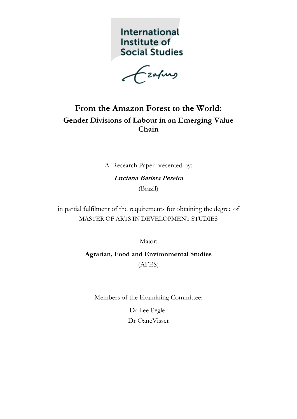International Institute of **Social Studies** 

Ezafung

# **From the Amazon Forest to the World: Gender Divisions of Labour in an Emerging Value Chain**

A Research Paper presented by:

**Luciana Batista Pereira** (Brazil)

in partial fulfilment of the requirements for obtaining the degree of MASTER OF ARTS IN DEVELOPMENT STUDIES

Major:

**Agrarian, Food and Environmental Studies** (AFES)

Members of the Examining Committee:

Dr Lee Pegler Dr OaneVisser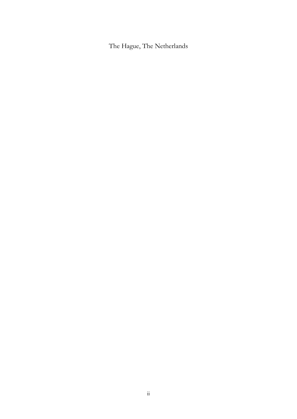The Hague, The Netherlands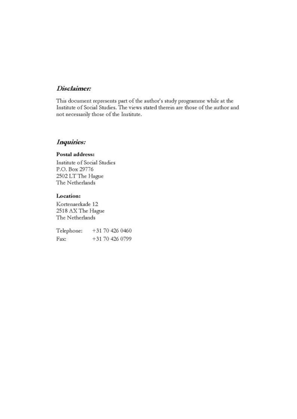### Disclaimer:

This document represents part of the author's study programme while at the Institute of Social Studies. The views stated therein are those of the author and not necessarily those of the Institute.

## Inquiries:

#### Postal address:

Institute of Social Studies P.O. Box 29776 2502 LT The Hague The Netherlands

#### Location:

Kortenaerkade 12 2518 AX The Hague The Netherlands

Telephone: +31 70 426 0460 Fax: +31 70 426 0799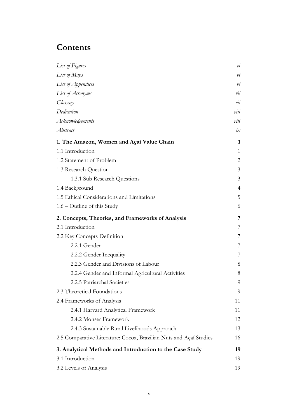# **Contents**

| List of Figures                                                    | $\overline{\nu}$ |
|--------------------------------------------------------------------|------------------|
| List of Maps                                                       | $\mathcal{V}$ l  |
| List of Appendices                                                 | $\dot{v}$        |
| List of Acronyms                                                   | vii              |
| Glossary                                                           | vii              |
| Dedication                                                         | vu               |
| Acknowledgements                                                   | viii             |
| Abstract                                                           | $i\chi$          |
| 1. The Amazon, Women and Açaí Value Chain                          | 1                |
| 1.1 Introduction                                                   | $\mathbf{1}$     |
| 1.2 Statement of Problem                                           | 2                |
| 1.3 Research Question                                              | $\overline{3}$   |
| 1.3.1 Sub Research Questions                                       | 3                |
| 1.4 Background                                                     | 4                |
| 1.5 Ethical Considerations and Limitations                         | 5                |
| $1.6$ – Outline of this Study                                      | 6                |
| 2. Concepts, Theories, and Frameworks of Analysis                  | 7                |
| 2.1 Introduction                                                   | 7                |
| 2.2 Key Concepts Definition                                        | 7                |
| 2.2.1 Gender                                                       | 7                |
| 2.2.2 Gender Inequality                                            | 7                |
| 2.2.3 Gender and Divisions of Labour                               | 8                |
| 2.2.4 Gender and Informal Agricultural Activities                  | 8                |
| 2.2.5 Patriarchal Societies                                        | 9                |
| 2.3 Theoretical Foundations                                        | 9                |
| 2.4 Frameworks of Analysis                                         | 11               |
| 2.4.1 Harvard Analytical Framework                                 | 11               |
| 2.4.2 Monser Framework                                             | 12               |
| 2.4.3 Sustainable Rural Livelihoods Approach                       | 13               |
| 2.5 Comparative Literature: Cocoa, Brazilian Nuts and Açaí Studies | 16               |
| 3. Analytical Methods and Introduction to the Case Study           | 19               |
| 3.1 Introduction                                                   | 19               |
| 3.2 Levels of Analysis                                             | 19               |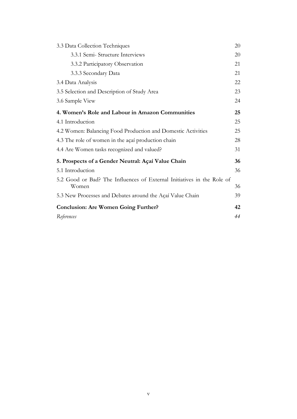| 3.3 Data Collection Techniques                                                  | 20 |
|---------------------------------------------------------------------------------|----|
| 3.3.1 Semi-Structure Interviews                                                 | 20 |
| 3.3.2 Participatory Observation                                                 | 21 |
| 3.3.3 Secondary Data                                                            | 21 |
| 3.4 Data Analysis                                                               | 22 |
| 3.5 Selection and Description of Study Area                                     | 23 |
| 3.6 Sample View                                                                 | 24 |
| 4. Women's Role and Labour in Amazon Communities                                | 25 |
| 4.1 Introduction                                                                | 25 |
| 4.2 Women: Balancing Food Production and Domestic Activities                    | 25 |
| 4.3 The role of women in the açaí production chain                              | 28 |
| 4.4 Are Women tasks recognized and valued?                                      | 31 |
| 5. Prospects of a Gender Neutral: Açaí Value Chain                              | 36 |
| 5.1 Introduction                                                                | 36 |
| 5.2 Good or Bad? The Influences of External Initiatives in the Role of<br>Women | 36 |
| 5.3 New Processes and Debates around the Açaí Value Chain                       | 39 |
| <b>Conclusion: Are Women Going Further?</b>                                     | 42 |
| References                                                                      | 44 |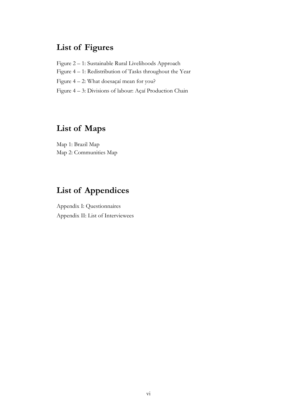# **List of Figures**

- Figure 2 1: Sustainable Rural Livelihoods Approach
- Figure 4 1: Redistribution of Tasks throughout the Year
- Figure 4 2: What doesaçaí mean for you?
- Figure 4 3: Divisions of labour: Açaí Production Chain

# **List of Maps**

Map 1: Brazil Map Map 2: Communities Map

# **List of Appendices**

Appendix I: Questionnaires Appendix II: List of Interviewees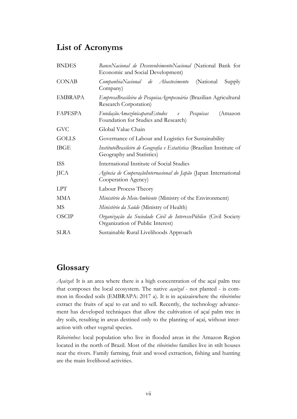# **List of Acronyms**

| <b>BNDES</b>   | BancoNacional de DesenvolvimentoNacional (National Bank for<br>Economic and Social Development)       |  |  |
|----------------|-------------------------------------------------------------------------------------------------------|--|--|
| <b>CONAB</b>   | CompanhiaNacional de Abastecimento<br>(National)<br>Supply<br>Company)                                |  |  |
| <b>EMBRAPA</b> | EmpresaBrasileira de Pesquisa Agropecuária (Brazilian Agricultural<br>Research Corporation)           |  |  |
| FAPESPA        | FundaçãoAmazônicaparaEstudos e<br>Pesquisas<br>(Amazon<br>Foundation for Studies and Research)        |  |  |
| <b>GVC</b>     | Global Value Chain                                                                                    |  |  |
| <b>GOLLS</b>   | Governance of Labour and Logistics for Sustainability                                                 |  |  |
| <b>IBGE</b>    | InstitutoBrasileiro de Geografia e Estatística (Brazilian Institute of<br>Geography and Statistics)   |  |  |
| <b>ISS</b>     | International Institute of Social Studies                                                             |  |  |
| <b>JICA</b>    | Agência de CooperaçãoInternacional do Japão (Japan International<br>Cooperation Agency)               |  |  |
| <b>LPT</b>     | Labour Process Theory                                                                                 |  |  |
| <b>MMA</b>     | Ministério do MeioAmbiente (Ministry of the Environment)                                              |  |  |
| MS             | Ministério da Saúde (Ministry of Health)                                                              |  |  |
| <b>OSCIP</b>   | Organização da Sociedade Civil de InteressePúblico (Civil Society<br>Organization of Public Interest) |  |  |
| <b>SLRA</b>    | Sustainable Rural Livelihoods Approach                                                                |  |  |

# **Glossary**

*Açaizal*: It is an area where there is a high concentration of the açaí palm tree that composes the local ecosystem. The native *açaizal* - not planted - is common in flooded soils (EMBRAPA: 2017 a). It is in açaizaiswhere the *ribeirinhos* extract the fruits of açaí to eat and to sell. Recently, the technology advancement has developed techniques that allow the cultivation of açaí palm tree in dry soils, resulting in areas destined only to the planting of açaí, without interaction with other vegetal species.

*Ribeirinhos*: local population who live in flooded areas in the Amazon Region located in the north of Brazil. Most of the *ribeirinhos* families live in stilt houses near the rivers. Family farming, fruit and wood extraction, fishing and hunting are the main livelihood activities.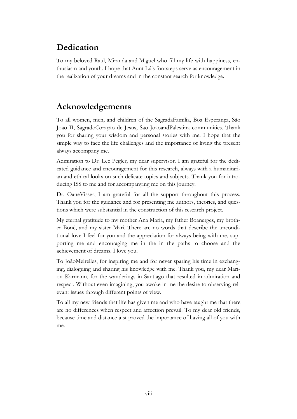# **Dedication**

To my beloved Raul, Miranda and Miguel who fill my life with happiness, enthusiasm and youth. I hope that Aunt Lú's footsteps serve as encouragement in the realization of your dreams and in the constant search for knowledge.

# **Acknowledgements**

To all women, men, and children of the SagradaFamília, Boa Esperança, São João II, SagradoCoração de Jesus, São JoãoandPalestina communities. Thank you for sharing your wisdom and personal stories with me. I hope that the simple way to face the life challenges and the importance of living the present always accompany me.

Admiration to Dr. Lee Pegler, my dear supervisor. I am grateful for the dedicated guidance and encouragement for this research, always with a humanitarian and ethical looks on such delicate topics and subjects. Thank you for introducing ISS to me and for accompanying me on this journey.

Dr. OaneVisser, I am grateful for all the support throughout this process. Thank you for the guidance and for presenting me authors, theories, and questions which were substantial in the construction of this research project.

My eternal gratitude to my mother Ana Maria, my father Boanerges, my brother Boné, and my sister Mari. There are no words that describe the unconditional love I feel for you and the appreciation for always being with me, supporting me and encouraging me in the in the paths to choose and the achievement of dreams. I love you.

To JoãoMeirelles, for inspiring me and for never sparing his time in exchanging, dialoguing and sharing his knowledge with me. Thank you, my dear Marion Karmann, for the wanderings in Santiago that resulted in admiration and respect. Without even imagining, you awoke in me the desire to observing relevant issues through different points of view.

To all my new friends that life has given me and who have taught me that there are no differences when respect and affection prevail. To my dear old friends, because time and distance just proved the importance of having all of you with me.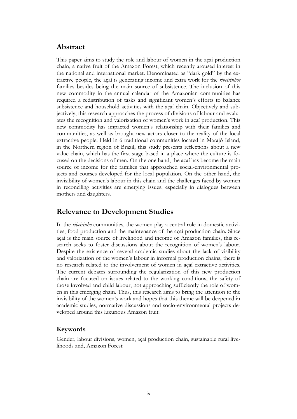## **Abstract**

This paper aims to study the role and labour of women in the açaí production chain, a native fruit of the Amazon Forest, which recently aroused interest in the national and international market. Denominated as "dark gold" by the extractive people, the açaí is generating income and extra work for the *ribeirinhos* families besides being the main source of subsistence. The inclusion of this new commodity in the annual calendar of the Amazonian communities has required a redistribution of tasks and significant women's efforts to balance subsistence and household activities with the açaí chain. Objectively and subjectively, this research approaches the process of divisions of labour and evaluates the recognition and valorization of women's work in açaí production. This new commodity has impacted women's relationship with their families and communities, as well as brought new actors closer to the reality of the local extractive people. Held in 6 traditional communities located in Marajó Island, in the Northern region of Brazil, this study presents reflections about a new value chain, which has the first stage based in a place where the culture is focused on the decisions of men. On the one hand, the açaí has become the main source of income for the families that approached social-environmental projects and courses developed for the local population. On the other hand, the invisibility of women's labour in this chain and the challenges faced by women in reconciling activities are emerging issues, especially in dialogues between mothers and daughters.

## **Relevance to Development Studies**

In the *ribeirinho* communities, the women play a central role in domestic activities, food production and the maintenance of the açaí production chain. Since açaí is the main source of livelihood and income of Amazon families, this research seeks to foster discussions about the recognition of women's labour. Despite the existence of several academic studies about the lack of visibility and valorization of the women's labour in informal production chains, there is no research related to the involvement of women in açaí extractive activities. The current debates surrounding the regularization of this new production chain are focused on issues related to the working conditions, the safety of those involved and child labour, not approaching sufficiently the role of women in this emerging chain. Thus, this research aims to bring the attention to the invisibility of the women's work and hopes that this theme will be deepened in academic studies, normative discussions and socio-environmental projects developed around this luxurious Amazon fruit.

### **Keywords**

Gender, labour divisions, women, açaí production chain, sustainable rural livelihoods and, Amazon Forest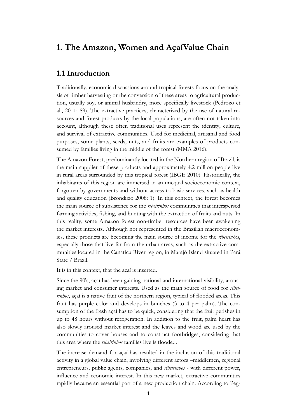## **1. The Amazon, Women and AçaíValue Chain**

## **1.1 Introduction**

Traditionally, economic discussions around tropical forests focus on the analysis of timber harvesting or the conversion of these areas to agricultural production, usually soy, or animal husbandry, more specifically livestock (Pedrozo et al., 2011: 89). The extractive practices, characterized by the use of natural resources and forest products by the local populations, are often not taken into account, although these often traditional uses represent the identity, culture, and survival of extractive communities. Used for medicinal, artisanal and food purposes, some plants, seeds, nuts, and fruits are examples of products consumed by families living in the middle of the forest (MMA 2016).

The Amazon Forest, predominantly located in the Northern region of Brazil, is the main supplier of these products and approximately 4.2 million people live in rural areas surrounded by this tropical forest (IBGE 2010). Historically, the inhabitants of this region are immersed in an unequal socioeconomic context, forgotten by governments and without access to basic services, such as health and quality education (Brondízio 2008: 1). In this context, the forest becomes the main source of subsistence for the *ribeirinhos* communities that interspersed farming activities, fishing, and hunting with the extraction of fruits and nuts. In this reality, some Amazon forest non-timber resources have been awakening the market interests. Although not represented in the Brazilian macroeconomics, these products are becoming the main source of income for the *ribeirinhos*, especially those that live far from the urban areas, such as the extractive communities located in the Canaticu River region, in Marajó Island situated in Pará State / Brazil.

It is in this context, that the açaí is inserted.

Since the 90's, açaí has been gaining national and international visibility, arousing market and consumer interests. Used as the main source of food for *ribeirinhos*, açaí is a native fruit of the northern region, typical of flooded areas. This fruit has purple color and develops in bunches (3 to 4 per palm). The consumption of the fresh açaí has to be quick, considering that the fruit perishes in up to 48 hours without refrigeration. In addition to the fruit, palm heart has also slowly aroused market interest and the leaves and wood are used by the communities to cover houses and to construct footbridges, considering that this area where the *ribeirinhos* families live is flooded.

The increase demand for açaí has resulted in the inclusion of this traditional activity in a global value chain, involving different actors –middlemen, regional entrepreneurs, public agents, companies, and *ribeirinhos* - with different power, influence and economic interest. In this new market, extractive communities rapidly became an essential part of a new production chain. According to Peg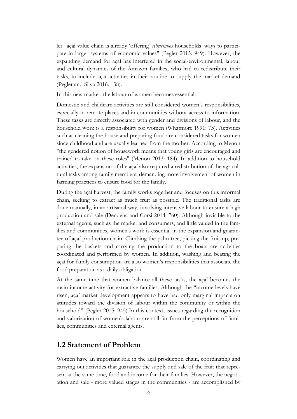ler "açaí value chain is already 'offering' *ribeirinhos* households' ways to participate in larger systems of economic values" (Pegler 2015: 949). However, the expanding demand for açaí has interfered in the social-environmental, labour and cultural dynamics of the Amazon families, who had to redistribute their tasks, to include açaí activities in their routine to supply the market demand (Pegler and Silva 2016: 138).

In this new market, the labour of women becomes essential.

Domestic and childcare activities are still considered women's responsibilities, especially in remote places and in communities without access to information. These tasks are directly associated with gender and divisions of labour, and the household work is a responsibility for women (Whatmore 1991: 73). Activities such as cleaning the house and preparing food are considered tasks for women since childhood and are usually learned from the mother. According to Menon "the gendered notion of housework means that young girls are encouraged and trained to take on these roles" (Menon 2013: 184). In addition to household activities, the expansion of the açaí also required a redistribution of the agricultural tasks among family members, demanding more involvement of women in farming practices to ensure food for the family.

During the açaí harvest, the family works together and focuses on this informal chain, seeking to extract as much fruit as possible. The traditional tasks are done manually, in an artisanal way, involving intensive labour to ensure a high production and sale (Dendena and Corsi 2014: 760). Although invisible to the external agents, such as the market and consumers, and little valued in the families and communities, women's work is essential in the expansion and guarantee of açaí production chain. Climbing the palm tree, picking the fruit up, preparing the baskets and carrying the production to the boats are activities coordinated and performed by women. In addition, washing and beating the açaí for family consumption are also women's responsibilities that associate the food preparation as a daily obligation.

At the same time that women balance all these tasks, the açaí becomes the main income activity for extractive families. Although the "income levels have risen, açaí market development appears to have had only marginal impacts on attitudes toward the division of labour within the community or within the household" (Pegler 2015: 945).In this context, issues regarding the recognition and valorization of women's labour are still far from the perceptions of families, communities and external agents.

### **1.2 Statement of Problem**

Women have an important role in the açaí production chain, coordinating and carrying out activities that guarantee the supply and sale of the fruit that represent at the same time, food and income for their families. However, the negotiation and sale - more valued stages in the communities - are accomplished by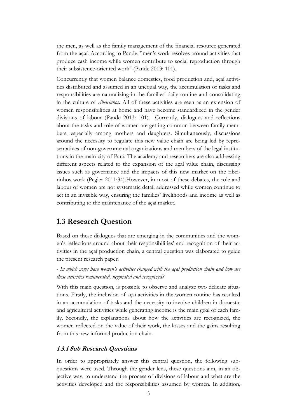the men, as well as the family management of the financial resource generated from the açaí. According to Pande, "men's work resolves around activities that produce cash income while women contribute to social reproduction through their subsistence-oriented work" (Pande 2013: 101).

Concurrently that women balance domestics, food production and, açaí activities distributed and assumed in an unequal way, the accumulation of tasks and responsibilities are naturalizing in the families' daily routine and consolidating in the culture of *ribeirinhos*. All of these activities are seen as an extension of women responsibilities at home and have become standardized in the gender divisions of labour (Pande 2013: 101). Currently, dialogues and reflections about the tasks and role of women are getting common between family members, especially among mothers and daughters. Simultaneously, discussions around the necessity to regulate this new value chain are being led by representatives of non-governmental organizations and members of the legal institutions in the main city of Pará. The academy and researchers are also addressing different aspects related to the expansion of the açaí value chain, discussing issues such as governance and the impacts of this new market on the ribeirinhos work (Pegler 2011:34).However, in most of these debates, the role and labour of women are not systematic detail addressed while women continue to act in an invisible way, ensuring the families' livelihoods and income as well as contributing to the maintenance of the açaí market.

## **1.3 Research Question**

Based on these dialogues that are emerging in the communities and the women's reflections around about their responsibilities' and recognition of their activities in the açaí production chain, a central question was elaborated to guide the present research paper.

- *In which ways have women's activities changed with the açaí production chain and how are these activities remunerated, negotiated and recognized?*

With this main question, is possible to observe and analyze two delicate situations. Firstly, the inclusion of açaí activities in the women routine has resulted in an accumulation of tasks and the necessity to involve children in domestic and agricultural activities while generating income is the main goal of each family. Secondly, the explanations about how the activities are recognized, the women reflected on the value of their work, the losses and the gains resulting from this new informal production chain.

#### **1.3.1 Sub Research Questions**

In order to appropriately answer this central question, the following subquestions were used. Through the gender lens, these questions aim, in an objective way, to understand the process of divisions of labour and what are the activities developed and the responsibilities assumed by women. In addition,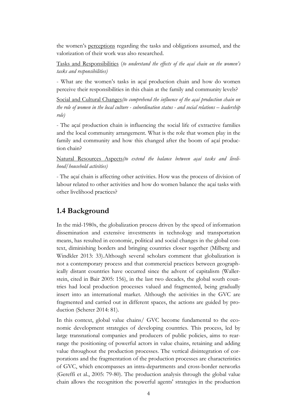the women's perceptions regarding the tasks and obligations assumed, and the valorization of their work was also researched.

Tasks and Responsibilities (*to understand the effects of the açaí chain on the women's tasks and responsibilities)*

- What are the women's tasks in açaí production chain and how do women perceive their responsibilities in this chain at the family and community levels?

Social and Cultural Changes*(to comprehend the influence of the açaí production chain on the role of women in the local culture - subordination status - and social relations – leadership role)*

- The açaí production chain is influencing the social life of extractive families and the local community arrangement. What is the role that women play in the family and community and how this changed after the boom of açaí production chain?

Natural Resources Aspects*(to extend the balance between açaí tasks and livelihood/household activities)*

- The açaí chain is affecting other activities. How was the process of division of labour related to other activities and how do women balance the açaí tasks with other livelihood practices?

## **1.4 Background**

In the mid-1980s, the globalization process driven by the speed of information dissemination and extensive investments in technology and transportation means, has resulted in economic, political and social changes in the global context, diminishing borders and bringing countries closer together (Milberg and Windkler 2013: 33).Although several scholars comment that globalization is not a contemporary process and that commercial practices between geographically distant countries have occurred since the advent of capitalism (Wallerstein, cited in Bair 2005: 156), in the last two decades, the global south countries had local production processes valued and fragmented, being gradually insert into an international market. Although the activities in the GVC are fragmented and carried out in different spaces, the actions are guided by production (Scherer 2014: 81).

In this context, global value chains/ GVC become fundamental to the economic development strategies of developing countries. This process, led by large transnational companies and producers of public policies, aims to rearrange the positioning of powerful actors in value chains, retaining and adding value throughout the production processes. The vertical disintegration of corporations and the fragmentation of the production processes are characteristics of GVC, which encompasses an intra-departments and cross-border networks (Gereffi et al., 2005: 79-80). The production analysis through the global value chain allows the recognition the powerful agents' strategies in the production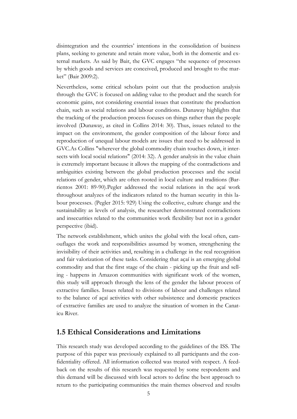disintegration and the countries' intentions in the consolidation of business plans, seeking to generate and retain more value, both in the domestic and external markets. As said by Bair, the GVC engages "the sequence of processes by which goods and services are conceived, produced and brought to the market" (Bair 2009:2).

Nevertheless, some critical scholars point out that the production analysis through the GVC is focused on adding value to the product and the search for economic gains, not considering essential issues that constitute the production chain, such as social relations and labour conditions. Dunaway highlights that the tracking of the production process focuses on things rather than the people involved (Dunaway, as cited in Collins 2014: 30). Thus, issues related to the impact on the environment, the gender composition of the labour force and reproduction of unequal labour models are issues that need to be addressed in GVC.As Collins "wherever the global commodity chain touches down, it intersects with local social relations" (2014: 32). A gender analysis in the value chain is extremely important because it allows the mapping of the contradictions and ambiguities existing between the global production processes and the social relations of gender, which are often rooted in local culture and traditions (Barrientos 2001: 89-90).Pegler addressed the social relations in the açaí work throughout analyzes of the indicators related to the human security in this labour processes. (Pegler 2015: 929) Using the collective, culture change and the sustainability as levels of analysis, the researcher demonstrated contradictions and insecurities related to the communities work flexibility but not in a gender perspective (ibid).

The network establishment, which unites the global with the local often, camouflages the work and responsibilities assumed by women, strengthening the invisibility of their activities and, resulting in a challenge in the real recognition and fair valorization of these tasks. Considering that açaí is an emerging global commodity and that the first stage of the chain - picking up the fruit and selling - happens in Amazon communities with significant work of the women, this study will approach through the lens of the gender the labour process of extractive families. Issues related to divisions of labour and challenges related to the balance of açaí activities with other subsistence and domestic practices of extractive families are used to analyze the situation of women in the Canaticu River.

## **1.5 Ethical Considerations and Limitations**

This research study was developed according to the guidelines of the ISS. The purpose of this paper was previously explained to all participants and the confidentiality offered. All information collected was treated with respect. A feedback on the results of this research was requested by some respondents and this demand will be discussed with local actors to define the best approach to return to the participating communities the main themes observed and results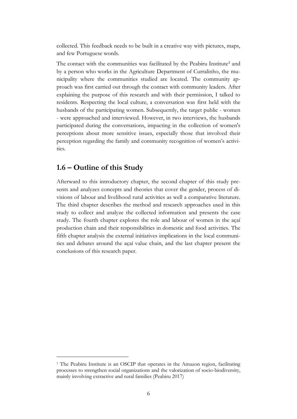collected. This feedback needs to be built in a creative way with pictures, maps, and few Portuguese words.

The contact with the communities was facilitated by the Peabiru Institute<sup>1</sup> and by a person who works in the Agriculture Department of Curralinho, the municipality where the communities studied are located. The community approach was first carried out through the contact with community leaders. After explaining the purpose of this research and with their permission, I talked to residents. Respecting the local culture, a conversation was first held with the husbands of the participating women. Subsequently, the target public - women - were approached and interviewed. However, in two interviews, the husbands participated during the conversations, impacting in the collection of women's perceptions about more sensitive issues, especially those that involved their perception regarding the family and community recognition of women's activities.

## **1.6 – Outline of this Study**

 $\overline{a}$ 

Afterward to this introductory chapter, the second chapter of this study presents and analyzes concepts and theories that cover the gender, process of divisions of labour and livelihood rural activities as well a comparative literature. The third chapter describes the method and research approaches used in this study to collect and analyze the collected information and presents the case study. The fourth chapter explores the role and labour of women in the açaí production chain and their responsibilities in domestic and food activities. The fifth chapter analysis the external initiatives implications in the local communities and debates around the açaí value chain, and the last chapter present the conclusions of this research paper.

<sup>&</sup>lt;sup>1</sup> The Peabiru Institute is an OSCIP that operates in the Amazon region, facilitating processes to strengthen social organizations and the valorization of socio-biodiversity, mainly involving extractive and rural families (Peabiru 2017)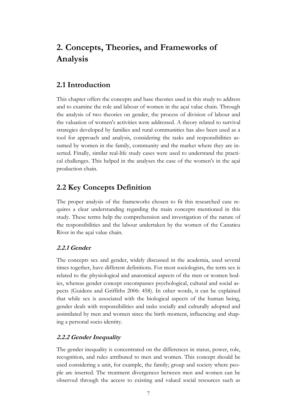# **2. Concepts, Theories, and Frameworks of Analysis**

## **2.1 Introduction**

This chapter offers the concepts and base theories used in this study to address and to examine the role and labour of women in the açaí value chain. Through the analysis of two theories on gender, the process of division of labour and the valuation of women's activities were addressed. A theory related to survival strategies developed by families and rural communities has also been used as a tool for approach and analysis, considering the tasks and responsibilities assumed by women in the family, community and the market where they are inserted. Finally, similar real-life study cases were used to understand the practical challenges. This helped in the analyses the case of the women's in the açaí production chain.

## **2.2 Key Concepts Definition**

The proper analysis of the frameworks chosen to fit this researched case requires a clear understanding regarding the main concepts mentioned in this study. These terms help the comprehension and investigation of the nature of the responsibilities and the labour undertaken by the women of the Canaticu River in the açaí value chain.

#### **2.2.1 Gender**

The concepts sex and gender, widely discussed in the academia, used several times together, have different definitions. For most sociologists, the term sex is related to the physiological and anatomical aspects of the men or women bodies, whereas gender concept encompasses psychological, cultural and social aspects (Guidens and Griffiths 2006: 458). In other words, it can be explained that while sex is associated with the biological aspects of the human being, gender deals with responsibilities and tasks socially and culturally adopted and assimilated by men and women since the birth moment, influencing and shaping a personal socio identity.

#### **2.2.2 Gender Inequality**

The gender inequality is concentrated on the differences in status, power, role, recognition, and rules attributed to men and women. This concept should be used considering a unit, for example, the family; group and society where people are inserted. The treatment divergences between men and women can be observed through the access to existing and valued social resources such as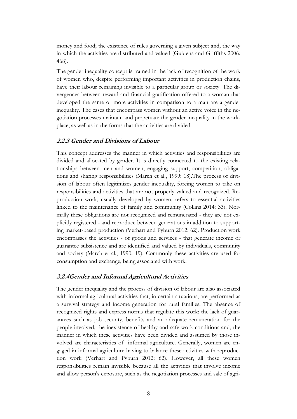money and food; the existence of rules governing a given subject and, the way in which the activities are distributed and valued (Guidens and Griffiths 2006: 468).

The gender inequality concept is framed in the lack of recognition of the work of women who, despite performing important activities in production chains, have their labour remaining invisible to a particular group or society. The divergences between reward and financial gratification offered to a woman that developed the same or more activities in comparison to a man are a gender inequality. The cases that encompass women without an active voice in the negotiation processes maintain and perpetuate the gender inequality in the workplace, as well as in the forms that the activities are divided.

#### **2.2.3 Gender and Divisions of Labour**

This concept addresses the manner in which activities and responsibilities are divided and allocated by gender. It is directly connected to the existing relationships between men and women, engaging support, competition, obligations and sharing responsibilities (March et al., 1999: 18).The process of division of labour often legitimizes gender inequality, forcing women to take on responsibilities and activities that are not properly valued and recognized. Reproduction work, usually developed by women, refers to essential activities linked to the maintenance of family and community (Collins 2014: 33). Normally these obligations are not recognized and remunerated - they are not explicitly registered - and reproduce between generations in addition to supporting market-based production (Verhart and Pyburn 2012: 62). Production work encompasses the activities - of goods and services - that generate income or guarantee subsistence and are identified and valued by individuals, community and society (March et al., 1990: 19). Commonly these activities are used for consumption and exchange, being associated with work.

#### **2.2.4Gender and Informal Agricultural Activities**

The gender inequality and the process of division of labour are also associated with informal agricultural activities that, in certain situations, are performed as a survival strategy and income generation for rural families. The absence of recognized rights and express norms that regulate this work; the lack of guarantees such as job security, benefits and an adequate remuneration for the people involved; the inexistence of healthy and safe work conditions and, the manner in which these activities have been divided and assumed by those involved are characteristics of informal agriculture. Generally, women are engaged in informal agriculture having to balance these activities with reproduction work (Verhart and Pyburn 2012: 62). However, all these women responsibilities remain invisible because all the activities that involve income and allow person's exposure, such as the negotiation processes and sale of agri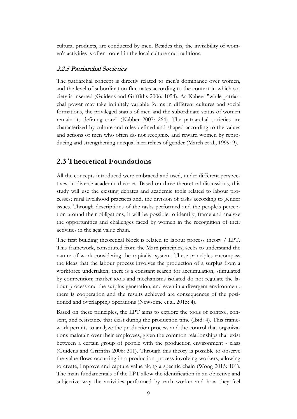cultural products, are conducted by men. Besides this, the invisibility of women's activities is often rooted in the local culture and traditions.

#### **2.2.5 Patriarchal Societies**

The patriarchal concept is directly related to men's dominance over women, and the level of subordination fluctuates according to the context in which society is inserted (Guidens and Griffiths 2006: 1054). As Kabeer "while patriarchal power may take infinitely variable forms in different cultures and social formations, the privileged status of men and the subordinate status of women remain its defining core" (Kabber 2007: 264). The patriarchal societies are characterized by culture and rules defined and shaped according to the values and actions of men who often do not recognize and reward women by reproducing and strengthening unequal hierarchies of gender (March et al., 1999: 9).

### **2.3 Theoretical Foundations**

All the concepts introduced were embraced and used, under different perspectives, in diverse academic theories. Based on three theoretical discussions, this study will use the existing debates and academic tools related to labour processes; rural livelihood practices and, the division of tasks according to gender issues. Through descriptions of the tasks performed and the people's perception around their obligations, it will be possible to identify, frame and analyze the opportunities and challenges faced by women in the recognition of their activities in the açaí value chain.

The first building theoretical block is related to labour process theory / LPT. This framework, constituted from the Marx principles, seeks to understand the nature of work considering the capitalist system. These principles encompass the ideas that the labour process involves the production of a surplus from a workforce undertaken; there is a constant search for accumulation, stimulated by competition; market tools and mechanisms isolated do not regulate the labour process and the surplus generation; and even in a divergent environment, there is cooperation and the results achieved are consequences of the positioned and overlapping operations (Newsome et al. 2015: 4).

Based on these principles, the LPT aims to explore the tools of control, consent, and resistance that exist during the production time (Ibid: 4). This framework permits to analyze the production process and the control that organizations maintain over their employees, given the common relationships that exist between a certain group of people with the production environment - class (Guidens and Griffiths 2006: 301). Through this theory is possible to observe the value flows occurring in a production process involving workers, allowing to create, improve and capture value along a specific chain (Wong 2015: 101). The main fundamentals of the LPT allow the identification in an objective and subjective way the activities performed by each worker and how they feel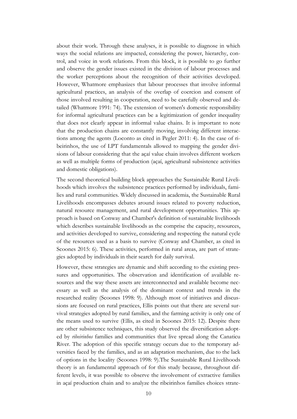about their work. Through these analyses, it is possible to diagnose in which ways the social relations are impacted, considering the power, hierarchy, control, and voice in work relations. From this block, it is possible to go further and observe the gender issues existed in the division of labour processes and the worker perceptions about the recognition of their activities developed. However, Whatmore emphasizes that labour processes that involve informal agricultural practices, an analysis of the overlap of coercion and consent of those involved resulting in cooperation, need to be carefully observed and detailed (Whatmore 1991: 74). The extension of women's domestic responsibility for informal agricultural practices can be a legitimization of gender inequality that does not clearly appear in informal value chains. It is important to note that the production chains are constantly moving, involving different interactions among the agents (Loconto as cited in Pegler 2011: 4). In the case of ribeirinhos, the use of LPT fundamentals allowed to mapping the gender divisions of labour considering that the açaí value chain involves different workers as well as multiple forms of production (açaí, agricultural subsistence activities and domestic obligations).

The second theoretical building block approaches the Sustainable Rural Livelihoods which involves the subsistence practices performed by individuals, families and rural communities. Widely discussed in academia, the Sustainable Rural Livelihoods encompasses debates around issues related to poverty reduction, natural resource management, and rural development opportunities. This approach is based on Conway and Chamber's definition of sustainable livelihoods which describes sustainable livelihoods as the comprise the capacity, resources, and activities developed to survive, considering and respecting the natural cycle of the resources used as a basis to survive (Conway and Chamber, as cited in Scoones 2015: 6). These activities, performed in rural areas, are part of strategies adopted by individuals in their search for daily survival.

However, these strategies are dynamic and shift according to the existing pressures and opportunities. The observation and identification of available resources and the way these assets are interconnected and available become necessary as well as the analysis of the dominant context and trends in the researched reality (Scoones 1998: 9). Although most of initiatives and discussions are focused on rural practices, Ellis points out that there are several survival strategies adopted by rural families, and the farming activity is only one of the means used to survive (Ellis, as cited in Scoones 2015: 12). Despite there are other subsistence techniques, this study observed the diversification adopted by *ribeirinhos* families and communities that live spread along the Canaticu River. The adoption of this specific strategy occurs due to the temporary adversities faced by the families, and as an adaptation mechanism, due to the lack of options in the locality (Scoones 1998: 9).The Sustainable Rural Livelihoods theory is an fundamental approach of for this study because, throughout different levels, it was possible to observe the involvement of extractive families in açaí production chain and to analyze the ribeirinhos families choices strate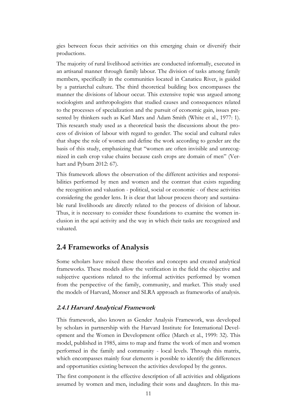gies between focus their activities on this emerging chain or diversify their productions.

The majority of rural livelihood activities are conducted informally, executed in an artisanal manner through family labour. The division of tasks among family members, specifically in the communities located in Canaticu River, is guided by a patriarchal culture. The third theoretical building box encompasses the manner the divisions of labour occur. This extensive topic was argued among sociologists and anthropologists that studied causes and consequences related to the processes of specialization and the pursuit of economic gain, issues presented by thinkers such as Karl Marx and Adam Smith (White et al., 1977: 1). This research study used as a theoretical basis the discussions about the process of division of labour with regard to gender. The social and cultural rules that shape the role of women and define the work according to gender are the basis of this study, emphasizing that "women are often invisible and unrecognized in cash crop value chains because cash crops are domain of men" (Verhart and Pyburn 2012: 67).

This framework allows the observation of the different activities and responsibilities performed by men and women and the contrast that exists regarding the recognition and valuation - political, social or economic - of these activities considering the gender lens. It is clear that labour process theory and sustainable rural livelihoods are directly related to the process of division of labour. Thus, it is necessary to consider these foundations to examine the women inclusion in the açaí activity and the way in which their tasks are recognized and valuated.

### **2.4 Frameworks of Analysis**

Some scholars have mixed these theories and concepts and created analytical frameworks. These models allow the verification in the field the objective and subjective questions related to the informal activities performed by women from the perspective of the family, community, and market. This study used the models of Harvard, Monser and SLRA approach as frameworks of analysis.

### **2.4.1 Harvard Analytical Framework**

This framework, also known as Gender Analysis Framework, was developed by scholars in partnership with the Harvard Institute for International Development and the Women in Development office (March et al., 1999: 32). This model, published in 1985, aims to map and frame the work of men and women performed in the family and community - local levels. Through this matrix, which encompasses mainly four elements is possible to identify the differences and opportunities existing between the activities developed by the genres.

The first component is the effective description of all activities and obligations assumed by women and men, including their sons and daughters. In this ma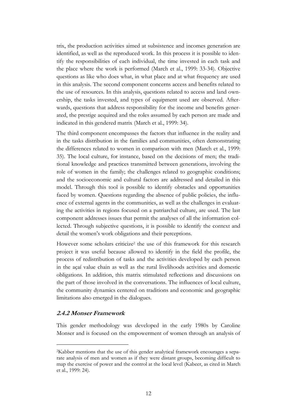trix, the production activities aimed at subsistence and incomes generation are identified, as well as the reproduced work. In this process it is possible to identify the responsibilities of each individual, the time invested in each task and the place where the work is performed (March et al., 1999: 33-34). Objective questions as like who does what, in what place and at what frequency are used in this analysis. The second component concerns access and benefits related to the use of resources. In this analysis, questions related to access and land ownership, the tasks invested, and types of equipment used are observed. Afterwards, questions that address responsibility for the income and benefits generated, the prestige acquired and the roles assumed by each person are made and indicated in this gendered matrix (March et al., 1999: 34).

The third component encompasses the factors that influence in the reality and in the tasks distribution in the families and communities, often demonstrating the differences related to women in comparison with men (March et al., 1999: 35). The local culture, for instance, based on the decisions of men; the traditional knowledge and practices transmitted between generations, involving the role of women in the family; the challenges related to geographic conditions; and the socioeconomic and cultural factors are addressed and detailed in this model. Through this tool is possible to identify obstacles and opportunities faced by women. Questions regarding the absence of public policies, the influence of external agents in the communities, as well as the challenges in evaluating the activities in regions focused on a patriarchal culture, are used. The last component addresses issues that permit the analyses of all the information collected. Through subjective questions, it is possible to identify the context and detail the women's work obligations and their perceptions.

However some scholars criticize<sup>2</sup> the use of this framework for this research project it was useful because allowed to identify in the field the profile, the process of redistribution of tasks and the activities developed by each person in the açaí value chain as well as the rural livelihoods activities and domestic obligations. In addition, this matrix stimulated reflections and discussions on the part of those involved in the conversations. The influences of local culture, the community dynamics centered on traditions and economic and geographic limitations also emerged in the dialogues.

#### **2.4.2 Monser Framework**

 $\overline{a}$ 

This gender methodology was developed in the early 1980s by Caroline Monser and is focused on the empowerment of women through an analysis of

<sup>2</sup>Kabber mentions that the use of this gender analytical framework encourages a separate analysis of men and women as if they were distant groups, becoming difficult to map the exercise of power and the control at the local level (Kabeer, as cited in March et al., 1999: 24).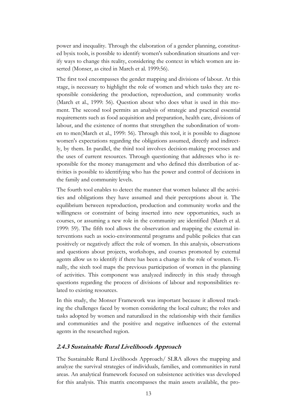power and inequality. Through the elaboration of a gender planning, constituted bysix tools, is possible to identify women's subordination situations and verify ways to change this reality, considering the context in which women are inserted (Monser, as cited in March et al. 1999:56).

The first tool encompasses the gender mapping and divisions of labour. At this stage, is necessary to highlight the role of women and which tasks they are responsible considering the production, reproduction, and community works (March et al., 1999: 56). Question about who does what is used in this moment. The second tool permits an analysis of strategic and practical essential requirements such as food acquisition and preparation, health care, divisions of labour, and the existence of norms that strengthen the subordination of women to men(March et al., 1999: 56). Through this tool, it is possible to diagnose women's expectations regarding the obligations assumed, directly and indirectly, by them. In parallel, the third tool involves decision-making processes and the uses of current resources. Through questioning that addresses who is responsible for the money management and who defined this distribution of activities is possible to identifying who has the power and control of decisions in the family and community levels.

The fourth tool enables to detect the manner that women balance all the activities and obligations they have assumed and their perceptions about it. The equilibrium between reproduction, production and community works and the willingness or constraint of being inserted into new opportunities, such as courses, or assuming a new role in the community are identified (March et al. 1999: 59). The fifth tool allows the observation and mapping the external interventions such as socio-environmental programs and public policies that can positively or negatively affect the role of women. In this analysis, observations and questions about projects, workshops, and courses promoted by external agents allow us to identify if there has been a change in the role of women. Finally, the sixth tool maps the previous participation of women in the planning of activities. This component was analyzed indirectly in this study through questions regarding the process of divisions of labour and responsibilities related to existing resources.

In this study, the Monser Framework was important because it allowed tracking the challenges faced by women considering the local culture; the roles and tasks adopted by women and naturalized in the relationship with their families and communities and the positive and negative influences of the external agents in the researched region.

#### **2.4.3 Sustainable Rural Livelihoods Approach**

The Sustainable Rural Livelihoods Approach/ SLRA allows the mapping and analyze the survival strategies of individuals, families, and communities in rural areas. An analytical framework focused on subsistence activities was developed for this analysis. This matrix encompasses the main assets available, the pro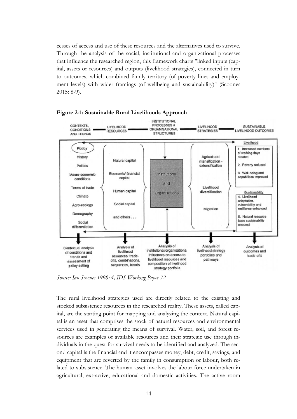cesses of access and use of these resources and the alternatives used to survive. Through the analysis of the social, institutional and organizational processes that influence the researched region, this framework charts "linked inputs (capital, assets or resources) and outputs (livelihood strategies), connected in turn to outcomes, which combined family territory (of poverty lines and employment levels) with wider framings (of wellbeing and sustainability)" (Scoones 2015: 8-9).





*Source: Ian Scoones 1998: 4, IDS Working Paper 72*

The rural livelihood strategies used are directly related to the existing and stocked subsistence resources in the researched reality. These assets, called capital, are the starting point for mapping and analyzing the context. Natural capital is an asset that comprises the stock of natural resources and environmental services used in generating the means of survival. Water, soil, and forest resources are examples of available resources and their strategic use through individuals in the quest for survival needs to be identified and analyzed. The second capital is the financial and it encompasses money, debt, credit, savings, and equipment that are reverted by the family in consumption or labour, both related to subsistence. The human asset involves the labour force undertaken in agricultural, extractive, educational and domestic activities. The active room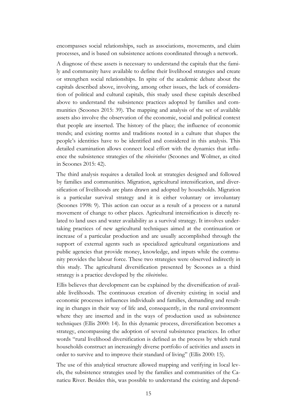encompasses social relationships, such as associations, movements, and claim processes, and is based on subsistence actions coordinated through a network.

A diagnose of these assets is necessary to understand the capitals that the family and community have available to define their livelihood strategies and create or strengthen social relationships. In spite of the academic debate about the capitals described above, involving, among other issues, the lack of consideration of political and cultural capitals, this study used these capitals described above to understand the subsistence practices adopted by families and communities (Scoones 2015: 39). The mapping and analysis of the set of available assets also involve the observation of the economic, social and political context that people are inserted. The history of the place; the influence of economic trends; and existing norms and traditions rooted in a culture that shapes the people's identities have to be identified and considered in this analysis. This detailed examination allows connect local effort with the dynamics that influence the subsistence strategies of the *ribeirinhos* (Scoones and Wolmer, as cited in Scoones 2015: 42).

The third analysis requires a detailed look at strategies designed and followed by families and communities. Migration, agricultural intensification, and diversification of livelihoods are plans drawn and adopted by households. Migration is a particular survival strategy and it is either voluntary or involuntary (Scoones 1998: 9). This action can occur as a result of a process or a natural movement of change to other places. Agricultural intensification is directly related to land uses and water availability as a survival strategy. It involves undertaking practices of new agricultural techniques aimed at the continuation or increase of a particular production and are usually accomplished through the support of external agents such as specialized agricultural organizations and public agencies that provide money, knowledge, and inputs while the community provides the labour force. These two strategies were observed indirectly in this study. The agricultural diversification presented by Scoones as a third strategy is a practice developed by the *ribeirinhos*.

Ellis believes that development can be explained by the diversification of available livelihoods. The continuous creation of diversity existing in social and economic processes influences individuals and families, demanding and resulting in changes in their way of life and, consequently, in the rural environment where they are inserted and in the ways of production used as subsistence techniques (Ellis 2000: 14). In this dynamic process, diversification becomes a strategy, encompassing the adoption of several subsistence practices. In other words "rural livelihood diversification is defined as the process by which rural households construct an increasingly diverse portfolio of activities and assets in order to survive and to improve their standard of living" (Ellis 2000: 15).

The use of this analytical structure allowed mapping and verifying in local levels, the subsistence strategies used by the families and communities of the Canaticu River. Besides this, was possible to understand the existing and depend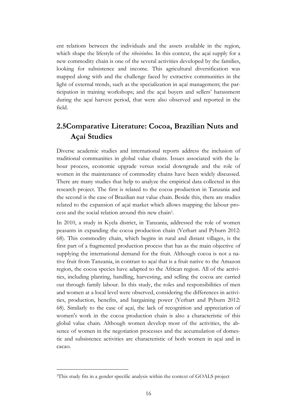ent relations between the individuals and the assets available in the region, which shape the lifestyle of the *ribeirinhos*. In this context, the açaí supply for a new commodity chain is one of the several activities developed by the families, looking for subsistence and income. This agricultural diversification was mapped along with and the challenge faced by extractive communities in the light of external trends, such as the specialization in açaí management; the participation in training workshops; and the açaí buyers and sellers' harassment during the açaí harvest period, that were also observed and reported in the field.

## **2.5Comparative Literature: Cocoa, Brazilian Nuts and Açaí Studies**

Diverse academic studies and international reports address the inclusion of traditional communities in global value chains. Issues associated with the labour process, economic upgrade versus social downgrade and the role of women in the maintenance of commodity chains have been widely discussed. There are many studies that help to analyze the empirical data collected in this research project. The first is related to the cocoa production in Tanzania and the second is the case of Brazilian nut value chain. Beside this, there are studies related to the expansion of açaí market which allows mapping the labour process and the social relation around this new chain<sup>3</sup> .

In 2010, a study in Kyela district, in Tanzania, addressed the role of women peasants in expanding the cocoa production chain (Verhart and Pyburn 2012: 68). This commodity chain, which begins in rural and distant villages, is the first part of a fragmented production process that has as the main objective of supplying the international demand for the fruit. Although cocoa is not a native fruit from Tanzania, in contrast to açaí that is a fruit native to the Amazon region, the cocoa species have adapted to the African region. All of the activities, including planting, handling, harvesting, and selling the cocoa are carried out through family labour. In this study, the roles and responsibilities of men and women at a local level were observed, considering the differences in activities, production, benefits, and bargaining power (Verhart and Pyburn 2012: 68). Similarly to the case of açaí, the lack of recognition and appreciation of women's work in the cocoa production chain is also a characteristic of this global value chain. Although women develop most of the activities, the absence of women in the negotiation processes and the accumulation of domestic and subsistence activities are characteristic of both women in açaí and in cacao.

<sup>3</sup>This study fits in a gender specific analysis within the context of GOALS project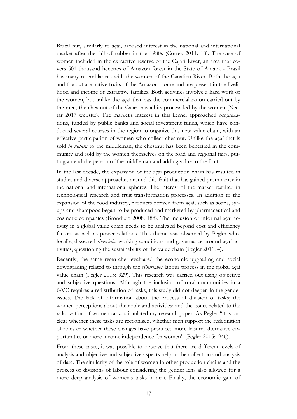Brazil nut, similarly to açaí, aroused interest in the national and international market after the fall of rubber in the 1980s (Cortez 2011: 18). The case of women included in the extractive reserve of the Cajari River, an area that covers 501 thousand hectares of Amazon forest in the State of Amapá - Brazil has many resemblances with the women of the Canaticu River. Both the açaí and the nut are native fruits of the Amazon biome and are present in the livelihood and income of extractive families. Both activities involve a hard work of the women, but unlike the açaí that has the commercialization carried out by the men, the chestnut of the Cajari has all its process led by the women (Nectar 2017 website). The market's interest in this kernel approached organizations, funded by public banks and social investment funds, which have conducted several courses in the region to organize this new value chain, with an effective participation of women who collect chestnut. Unlike the açaí that is sold *in natura* to the middleman, the chestnut has been benefited in the community and sold by the women themselves on the road and regional fairs, putting an end the person of the middleman and adding value to the fruit.

In the last decade, the expansion of the açaí production chain has resulted in studies and diverse approaches around this fruit that has gained prominence in the national and international spheres. The interest of the market resulted in technological research and fruit transformation processes. In addition to the expansion of the food industry, products derived from açaí, such as soaps, syrups and shampoos began to be produced and marketed by pharmaceutical and cosmetic companies (Brondízio 2008: 188). The inclusion of informal açaí activity in a global value chain needs to be analyzed beyond cost and efficiency factors as well as power relations. This theme was observed by Pegler who, locally, dissected *ribeirinho* working conditions and governance around açaí activities, questioning the sustainability of the value chain (Pegler 2011: 4).

Recently, the same researcher evaluated the economic upgrading and social downgrading related to through the *ribeirinhos* labour process in the global açaí value chain (Pegler 2015: 929). This research was carried out using objective and subjective questions. Although the inclusion of rural communities in a GVC requires a redistribution of tasks, this study did not deepen in the gender issues. The lack of information about the process of division of tasks; the women perceptions about their role and activities; and the issues related to the valorization of women tasks stimulated my research paper. As Pegler "it is unclear whether these tasks are recognised, whether men support the redefinition of roles or whether these changes have produced more leisure, alternative opportunities or more income independence for women" (Pegler 2015: 946).

From these cases, it was possible to observe that there are different levels of analysis and objective and subjective aspects help in the collection and analysis of data. The similarity of the role of women in other production chains and the process of divisions of labour considering the gender lens also allowed for a more deep analysis of women's tasks in açaí. Finally, the economic gain of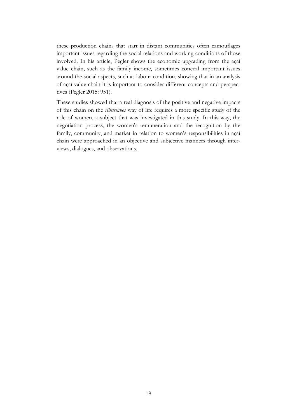these production chains that start in distant communities often camouflages important issues regarding the social relations and working conditions of those involved. In his article, Pegler shows the economic upgrading from the açaí value chain, such as the family income, sometimes conceal important issues around the social aspects, such as labour condition, showing that in an analysis of açaí value chain it is important to consider different concepts and perspectives (Pegler 2015: 951).

These studies showed that a real diagnosis of the positive and negative impacts of this chain on the *ribeirinhos* way of life requires a more specific study of the role of women, a subject that was investigated in this study. In this way, the negotiation process, the women's remuneration and the recognition by the family, community, and market in relation to women's responsibilities in açaí chain were approached in an objective and subjective manners through interviews, dialogues, and observations.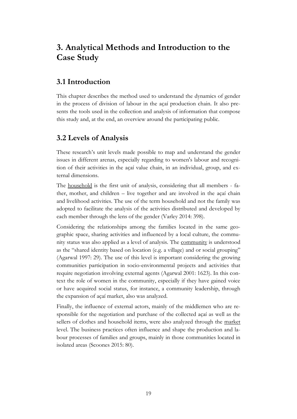# **3. Analytical Methods and Introduction to the Case Study**

## **3.1 Introduction**

This chapter describes the method used to understand the dynamics of gender in the process of division of labour in the açaí production chain. It also presents the tools used in the collection and analysis of information that compose this study and, at the end, an overview around the participating public.

## **3.2 Levels of Analysis**

These research's unit levels made possible to map and understand the gender issues in different arenas, especially regarding to women's labour and recognition of their activities in the açaí value chain, in an individual, group, and external dimensions.

The household is the first unit of analysis, considering that all members - father, mother, and children – live together and are involved in the açaí chain and livelihood activities. The use of the term household and not the family was adopted to facilitate the analysis of the activities distributed and developed by each member through the lens of the gender (Varley 2014: 398).

Considering the relationships among the families located in the same geographic space, sharing activities and influenced by a local culture, the community status was also applied as a level of analysis. The community is understood as the "shared identity based on location (e.g. a village) and or social grouping" (Agarwal 1997: 29). The use of this level is important considering the growing communities participation in socio-environmental projects and activities that require negotiation involving external agents (Agarwal 2001: 1623). In this context the role of women in the community, especially if they have gained voice or have acquired social status, for instance, a community leadership, through the expansion of açaí market, also was analyzed.

Finally, the influence of external actors, mainly of the middlemen who are responsible for the negotiation and purchase of the collected açaí as well as the sellers of clothes and household items, were also analyzed through the market level. The business practices often influence and shape the production and labour processes of families and groups, mainly in those communities located in isolated areas (Scoones 2015: 80).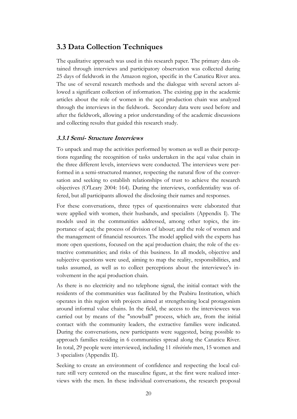## **3.3 Data Collection Techniques**

The qualitative approach was used in this research paper. The primary data obtained through interviews and participatory observation was collected during 25 days of fieldwork in the Amazon region, specific in the Canaticu River area. The use of several research methods and the dialogue with several actors allowed a significant collection of information. The existing gap in the academic articles about the role of women in the açaí production chain was analyzed through the interviews in the fieldwork. Secondary data were used before and after the fieldwork, allowing a prior understanding of the academic discussions and collecting results that guided this research study.

#### **3.3.1 Semi- Structure Interviews**

To unpack and map the activities performed by women as well as their perceptions regarding the recognition of tasks undertaken in the açaí value chain in the three different levels, interviews were conducted. The interviews were performed in a semi-structured manner, respecting the natural flow of the conversation and seeking to establish relationships of trust to achieve the research objectives (O'Leary 2004: 164). During the interviews, confidentiality was offered, but all participants allowed the disclosing their names and responses.

For these conversations, three types of questionnaires were elaborated that were applied with women, their husbands, and specialists (Appendix I). The models used in the communities addressed, among other topics, the importance of açaí; the process of division of labour; and the role of women and the management of financial resources. The model applied with the experts has more open questions, focused on the açaí production chain; the role of the extractive communities; and risks of this business. In all models, objective and subjective questions were used, aiming to map the reality, responsibilities, and tasks assumed, as well as to collect perceptions about the interviewee's involvement in the açaí production chain.

As there is no electricity and no telephone signal, the initial contact with the residents of the communities was facilitated by the Peabiru Institution, which operates in this region with projects aimed at strengthening local protagonism around informal value chains. In the field, the access to the interviewees was carried out by means of the "snowball" process, which are, from the initial contact with the community leaders, the extractive families were indicated. During the conversations, new participants were suggested, being possible to approach families residing in 6 communities spread along the Canaticu River. In total, 29 people were interviewed, including 11 *ribeirinho* men, 15 women and 3 specialists (Appendix II).

Seeking to create an environment of confidence and respecting the local culture still very centered on the masculine figure, at the first were realized interviews with the men. In these individual conversations, the research proposal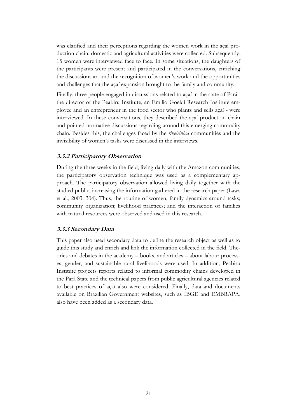was clarified and their perceptions regarding the women work in the açaí production chain, domestic and agricultural activities were collected. Subsequently, 15 women were interviewed face to face. In some situations, the daughters of the participants were present and participated in the conversations, enriching the discussions around the recognition of women's work and the opportunities and challenges that the açaí expansion brought to the family and community.

Finally, three people engaged in discussions related to açaí in the state of Pará– the director of the Peabiru Institute, an Emilio Goeldi Research Institute employee and an entrepreneur in the food sector who plants and sells açaí - were interviewed. In these conversations, they described the açaí production chain and pointed normative discussions regarding around this emerging commodity chain. Besides this, the challenges faced by the *ribeirinhos* communities and the invisibility of women's tasks were discussed in the interviews.

#### **3.3.2 Participatory Observation**

During the three weeks in the field, living daily with the Amazon communities, the participatory observation technique was used as a complementary approach. The participatory observation allowed living daily together with the studied public, increasing the information gathered in the research paper (Laws et al., 2003: 304). Thus, the routine of women; family dynamics around tasks; community organization; livelihood practices; and the interaction of families with natural resources were observed and used in this research.

#### **3.3.3 Secondary Data**

This paper also used secondary data to define the research object as well as to guide this study and enrich and link the information collected in the field. Theories and debates in the academy – books, and articles – about labour processes, gender, and sustainable rural livelihoods were used. In addition, Peabiru Institute projects reports related to informal commodity chains developed in the Pará State and the technical papers from public agricultural agencies related to best practices of açaí also were considered. Finally, data and documents available on Brazilian Government websites, such as IBGE and EMBRAPA, also have been added as a secondary data.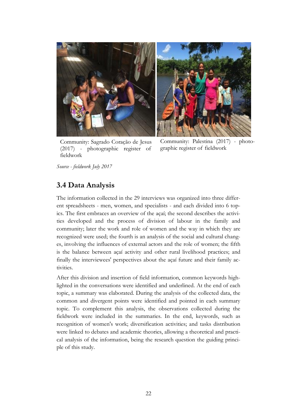

Community: Sagrado Coração de Jesus (2017) - photographic register of fieldwork

Community: Palestina (2017) - photographic register of fieldwork

*Source - fieldwork July 2017*

## **3.4 Data Analysis**

The information collected in the 29 interviews was organized into three different spreadsheets - men, women, and specialists - and each divided into 6 topics. The first embraces an overview of the açaí; the second describes the activities developed and the process of division of labour in the family and community; later the work and role of women and the way in which they are recognized were used; the fourth is an analysis of the social and cultural changes, involving the influences of external actors and the role of women; the fifth is the balance between açaí activity and other rural livelihood practices; and finally the interviewees' perspectives about the açaí future and their family activities.

After this division and insertion of field information, common keywords highlighted in the conversations were identified and underlined. At the end of each topic, a summary was elaborated. During the analysis of the collected data, the common and divergent points were identified and pointed in each summary topic. To complement this analysis, the observations collected during the fieldwork were included in the summaries. In the end, keywords, such as recognition of women's work; diversification activities; and tasks distribution were linked to debates and academic theories, allowing a theoretical and practical analysis of the information, being the research question the guiding principle of this study.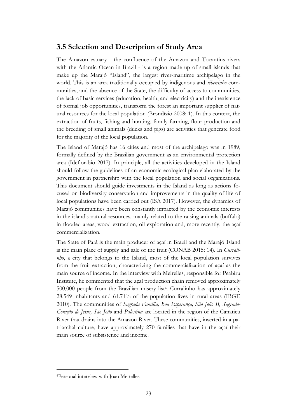### **3.5 Selection and Description of Study Area**

The Amazon estuary - the confluence of the Amazon and Tocantins rivers with the Atlantic Ocean in Brazil - is a region made up of small islands that make up the Marajó "Island", the largest river-maritime archipelago in the world. This is an area traditionally occupied by indigenous and *ribeirinho* communities, and the absence of the State, the difficulty of access to communities, the lack of basic services (education, health, and electricity) and the inexistence of formal job opportunities, transform the forest an important supplier of natural resources for the local population (Brondízio 2008: 1). In this context, the extraction of fruits, fishing and hunting, family farming, flour production and the breeding of small animals (ducks and pigs) are activities that generate food for the majority of the local population.

The Island of Marajó has 16 cities and most of the archipelago was in 1989, formally defined by the Brazilian government as an environmental protection area (Ideflor-bio 2017). In principle, all the activities developed in the Island should follow the guidelines of an economic-ecological plan elaborated by the government in partnership with the local population and social organizations. This document should guide investments in the Island as long as actions focused on biodiversity conservation and improvements in the quality of life of local populations have been carried out (ISA 2017). However, the dynamics of Marajó communities have been constantly impacted by the economic interests in the island's natural resources, mainly related to the raising animals (buffalo) in flooded areas, wood extraction, oil exploration and, more recently, the açaí commercialization.

The State of Pará is the main producer of açaí in Brazil and the Marajó Island is the main place of supply and sale of the fruit (CONAB 2015: 14). In *Curralinho*, a city that belongs to the Island, most of the local population survives from the fruit extraction, characterizing the commercialization of açaí as the main source of income. In the interview with Meirelles, responsible for Peabiru Institute, he commented that the açaí production chain removed approximately 500,000 people from the Brazilian misery list<sup>4</sup>. Curralinho has approximately 28,549 inhabitants and 61.71% of the population lives in rural areas (IBGE 2010). The communities of *Sagrada Família, Boa Esperança, São João II, Sagrado-Coração de Jesus, São João* and *Palestina* are located in the region of the Canaticu River that drains into the Amazon River. These communities, inserted in a patriarchal culture, have approximately 270 families that have in the açaí their main source of subsistence and income.

<sup>4</sup>Personal interview with Joao Meirelles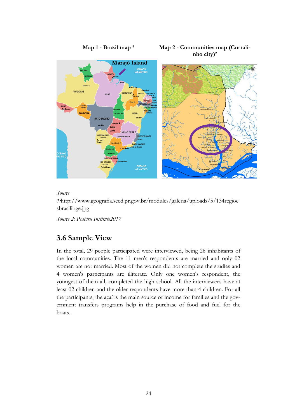

*Source* 

*1:*http://www.geografia.seed.pr.gov.br/modules/galeria/uploads/5/134regioe sbrasilibge.jpg

*Source 2: Peabiru Institute2017*

## **3.6 Sample View**

In the total, 29 people participated were interviewed, being 26 inhabitants of the local communities. The 11 men's respondents are married and only 02 women are not married. Most of the women did not complete the studies and 4 women's participants are illiterate. Only one women's respondent, the youngest of them all, completed the high school. All the interviewees have at least 02 children and the older respondents have more than 4 children. For all the participants, the açaí is the main source of income for families and the government transfers programs help in the purchase of food and fuel for the boats.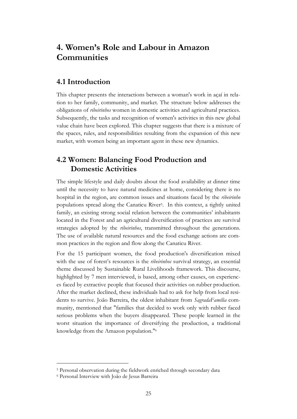# **4. Women's Role and Labour in Amazon Communities**

## **4.1 Introduction**

This chapter presents the interactions between a woman's work in açaí in relation to her family, community, and market. The structure below addresses the obligations of *ribeirinhos* women in domestic activities and agricultural practices. Subsequently, the tasks and recognition of women's activities in this new global value chain have been explored. This chapter suggests that there is a mixture of the spaces, rules, and responsibilities resulting from the expansion of this new market, with women being an important agent in these new dynamics.

## **4.2 Women: Balancing Food Production and Domestic Activities**

The simple lifestyle and daily doubts about the food availability at dinner time until the necessity to have natural medicines at home, considering there is no hospital in the region, are common issues and situations faced by the *ribeirinho* populations spread along the Canaticu River<sup>5</sup> . In this context, a tightly united family, an existing strong social relation between the communities' inhabitants located in the Forest and an agricultural diversification of practices are survival strategies adopted by the *ribeirinhos*, transmitted throughout the generations. The use of available natural resources and the food exchange actions are common practices in the region and flow along the Canaticu River.

For the 15 participant women, the food production's diversification mixed with the use of forest's resources is the *ribeirinhos* survival strategy, an essential theme discussed by Sustainable Rural Livelihoods framework. This discourse, highlighted by 7 men interviewed, is based, among other causes, on experiences faced by extractive people that focused their activities on rubber production. After the market declined, these individuals had to ask for help from local residents to survive. João Barreira, the oldest inhabitant from *SagradaFamília* community, mentioned that "families that decided to work only with rubber faced serious problems when the buyers disappeared. These people learned in the worst situation the importance of diversifying the production, a traditional knowledge from the Amazon population." 6

<sup>5</sup> Personal observation during the fieldwork enriched through secondary data

<sup>6</sup> Personal Interview with João de Jesus Barreira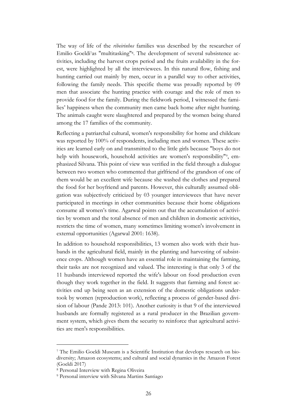The way of life of the *ribeirinhos* families was described by the researcher of Emilio Goeldi7as "multitasking"<sup>8</sup> . The development of several subsistence activities, including the harvest crops period and the fruits availability in the forest, were highlighted by all the interviewees. In this natural flow, fishing and hunting carried out mainly by men, occur in a parallel way to other activities, following the family needs. This specific theme was proudly reported by 09 men that associate the hunting practice with courage and the role of men to provide food for the family. During the fieldwork period, I witnessed the families' happiness when the community men came back home after night hunting. The animals caught were slaughtered and prepared by the women being shared among the 17 families of the community.

Reflecting a patriarchal cultural, women's responsibility for home and childcare was reported by 100% of respondents, including men and women. These activities are learned early on and transmitted to the little girls because "boys do not help with housework, household activities are women's responsibility"<sup>9</sup>, emphasized Silvana. This point of view was verified in the field through a dialogue between two women who commented that girlfriend of the grandson of one of them would be an excellent wife because she washed the clothes and prepared the food for her boyfriend and parents. However, this culturally assumed obligation was subjectively criticized by 03 younger interviewees that have never participated in meetings in other communities because their home obligations consume all women's time. Agarwal points out that the accumulation of activities by women and the total absence of men and children in domestic activities, restricts the time of women, many sometimes limiting women's involvement in external opportunities (Agarwal 2001: 1638).

In addition to household responsibilities, 13 women also work with their husbands in the agricultural field, mainly in the planting and harvesting of subsistence crops. Although women have an essential role in maintaining the farming, their tasks are not recognized and valued. The interesting is that only 3 of the 11 husbands interviewed reported the wife's labour on food production even though they work together in the field. It suggests that farming and forest activities end up being seen as an extension of the domestic obligations undertook by women (reproduction work), reflecting a process of gender-based division of labour (Pande 2013: 101). Another curiosity is that 9 of the interviewed husbands are formally registered as a rural producer in the Brazilian government system, which gives them the security to reinforce that agricultural activities are men's responsibilities.

<sup>7</sup> The Emilio Goeldi Museum is a Scientific Institution that develops research on biodiversity; Amazon ecosystems; and cultural and social dynamics in the Amazon Forest (Goeldi 2017)

<sup>8</sup> Personal Interview with Regina Oliveira

<sup>9</sup> Personal interview with Silvana Martins Santiago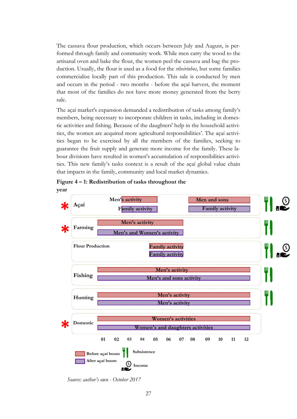The cassava flour production, which occurs between July and August, is performed through family and community work. While men carry the wood to the artisanal oven and bake the flour, the women peel the cassava and bag the production. Usually, the flour is used as a food for the *ribeirinhos*, but some families commercialize locally part of this production. This sale is conducted by men and occurs in the period - two months - before the açaí harvest, the moment that most of the families do not have more money generated from the berry sale.

The açaí market's expansion demanded a redistribution of tasks among family's members, being necessary to incorporate children in tasks, including in domestic activities and fishing. Because of the daughters' help in the household activities, the women are acquired more agricultural responsibilities'. The açaí activities began to be exercised by all the members of the families, seeking to guarantee the fruit supply and generate more income for the family. These labour divisions have resulted in women's accumulation of responsibilities activities. This new family's tasks context is a result of the açaí global value chain that impacts in the family, community and local market dynamics.

**Figure 4 – 1: Redistribution of tasks throughout the year**



*Source: author's own - October 2017*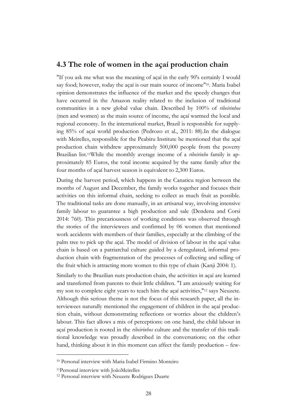### **4.3 The role of women in the açaí production chain**

"If you ask me what was the meaning of açaí in the early 90's certainly I would say food; however, today the açaí is our main source of income"<sup>10</sup> . Maria Isabel opinion demonstrates the influence of the market and the speedy changes that have occurred in the Amazon reality related to the inclusion of traditional communities in a new global value chain. Described by 100% of *ribeirinhos* (men and women) as the main source of income, the açaí warmed the local and regional economy. In the international market, Brazil is responsible for supplying 85% of açaí world production (Pedrozo et al., 2011: 88).In the dialogue with Meirelles, responsible for the Peabiru Institute he mentioned that the açaí production chain withdrew approximately 500,000 people from the poverty Brazilian list.11While the monthly average income of a *ribeirinho* family is approximately 85 Euros, the total income acquired by the same family after the four months of açaí harvest season is equivalent to 2,300 Euros.

During the harvest period, which happens in the Canaticu region between the months of August and December, the family works together and focuses their activities on this informal chain, seeking to collect as much fruit as possible. The traditional tasks are done manually, in an artisanal way, involving intensive family labour to guarantee a high production and sale (Dendena and Corsi 2014: 760). This precariousness of working conditions was observed through the stories of the interviewees and confirmed by 06 women that mentioned work accidents with members of their families, especially at the climbing of the palm tree to pick up the açaí. The model of division of labour in the açaí value chain is based on a patriarchal culture guided by a deregulated, informal production chain with fragmentation of the processes of collecting and selling of the fruit which is attracting more women to this type of chain (Kanji 2004: 1).

Similarly to the Brazilian nuts production chain, the activities in açaí are learned and transferred from parents to their little children. "I am anxiously waiting for my son to complete eight years to teach him the açaí activities,"<sup>12</sup> says Neuzete. Although this serious theme is not the focus of this research paper, all the interviewees naturally mentioned the engagement of children in the açaí production chain, without demonstrating reflections or worries about the children's labour. This fact allows a mix of perceptions: on one hand, the child labour in açaí production is rooted in the *ribeirinhos* culture and the transfer of this traditional knowledge was proudly described in the conversations; on the other hand, thinking about it in this moment can affect the family production – few-

<sup>10</sup> Personal interview with Maria Isabel Firmino Monteiro

<sup>11</sup>Personal interview with JoãoMeirelles

<sup>12</sup> Personal interview with Neuzete Rodrigues Duarte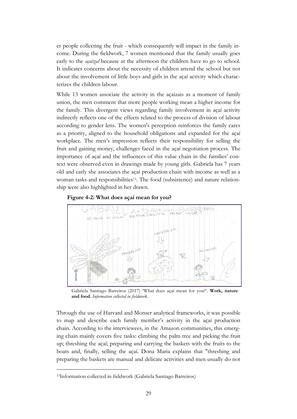er people collecting the fruit - which consequently will impact in the family income. During the fieldwork, 7 women mentioned that the family usually goes early to the *açaizal* because at the afternoon the children have to go to school. It indicates concerns about the necessity of children attend the school but not about the involvement of little boys and girls in the açaí activity which characterizes the children labour.

While 13 women associate the activity in the açaizais as a moment of family union, the men comment that more people working mean a higher income for the family. This divergent views regarding family involvement in açaí activity indirectly reflects one of the effects related to the process of division of labour according to gender lens. The women's perception reinforces the family cares as a priority, aligned to the household obligations and expanded for the açaí workplace. The men's impression reflects their responsibility for selling the fruit and gaining money, challenges faced in the açaí negotiation process. The importance of açaí and the influences of this value chain in the families' context were observed even in drawings made by young girls. Gabriela has 7 years old and early she associates the açaí production chain with income as well as a woman tasks and responsibilities<sup>13</sup>. The food (subsistence) and nature relationship were also highlighted in her drawn.





Gabriela Santiago Barreiros (2017) 'What does açaí mean for you?'. **Work, nature and food**. *Information collected in fieldwork*.

Through the use of Harvard and Monser analytical frameworks, it was possible to map and describe each family member's activity in the açaí production chain. According to the interviewees, in the Amazon communities, this emerging chain mainly covers five tasks: climbing the palm tree and picking the fruit up; threshing the açaí; preparing and carrying the baskets with the fruits to the boats and, finally, selling the açaí. Dona Maria explains that "threshing and preparing the baskets are manual and delicate activities and men usually do not

<sup>13</sup>Information collected in fieldwork (Gabriela Santiago Barreiros)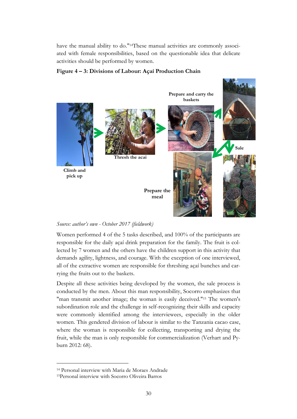have the manual ability to do." 14These manual activities are commonly associated with female responsibilities, based on the questionable idea that delicate activities should be performed by women.





#### *Source: author's own - October 2017 (fieldwork)*

Women performed 4 of the 5 tasks described, and 100% of the participants are responsible for the daily açaí drink preparation for the family. The fruit is collected by 7 women and the others have the children support in this activity that demands agility, lightness, and courage. With the exception of one interviewed, all of the extractive women are responsible for threshing açaí bunches and carrying the fruits out to the baskets.

Despite all these activities being developed by the women, the sale process is conducted by the men. About this man responsibility, Socorro emphasizes that "man transmit another image; the woman is easily deceived."<sup>15</sup> The women's subordination role and the challenge in self-recognizing their skills and capacity were commonly identified among the interviewees, especially in the older women. This gendered division of labour is similar to the Tanzania cacao case, where the woman is responsible for collecting, transporting and drying the fruit, while the man is only responsible for commercialization (Verhart and Pyburn 2012: 68).

<sup>14</sup> Personal interview with Maria de Moraes Andrade

<sup>15</sup>Personal interview with Socorro Oliveira Barros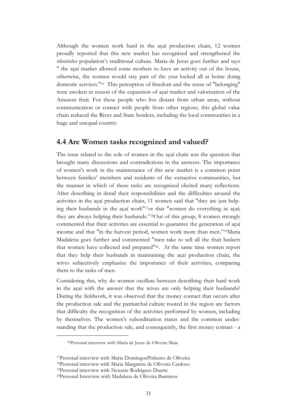Although the women work hard in the açaí production chain, 12 women proudly reported that this new market has recognized and strengthened the *ribeirinhos* population's traditional culture. Maria de Jesus goes further and says " the açaí market allowed some mothers to have an activity out of the house, otherwise, the women would stay part of the year locked all at home doing domestic services."<sup>16</sup> This perception of freedom and the sense of "belonging" were awoken in reason of the expansion of açaí market and valorization of the Amazon fruit. For these people who live distant from urban areas, without communication or contact with people from other regions, this global value chain reduced the River and State borders, including the local communities in a huge and unequal country.

#### **4.4 Are Women tasks recognized and valued?**

The issue related to the role of women in the açaí chain was the question that brought many discussions and contradictions in the answers. The importance of women's work in the maintenance of this new market is a common point between families' members and residents of the extractive communities, but the manner in which of these tasks are recognized elicited many reflections. After describing in detail their responsibilities and the difficulties around the activities in the açaí production chain, 11 women said that "they are just helping their husbands in the açaí work"17or that "women do everything in açaí; they are always helping their husbands."18Out of this group, 8 women strongly commented that their activities are essential to guarantee the generation of açaí income and that "in the harvest period, women work more than men."19Maria Madalena goes further and commented "men take to sell all the fruit baskets that women have collected and prepared"20. At the same time women report that they help their husbands in maintaining the açaí production chain, the wives subjectively emphasize the importance of their activities, comparing them to the tasks of men.

Considering this, why do women oscillate between describing their hard work in the açaí with the answer that the wives are only helping their husbands? During the fieldwork, it was observed that the money contact that occurs after the production sale and the patriarchal culture rooted in the region are factors that difficulty the recognition of the activities performed by women, including by themselves. The women's subordination status and the common understanding that the production sale, and consequently, the first money contact - a

<sup>16</sup>Personal interview with Maria de Jesus de Oliveira Maia

<sup>17</sup>Personal interview with Maria DomingosPinheiro de Oliveira

<sup>18</sup>Personal interview with Maria Margarete de Oliveira Cardoso

<sup>19</sup>Personal interview with Neuzete Rodrigues Duarte

<sup>20</sup>Personal Interview with Madalena de Oliveira Barreiros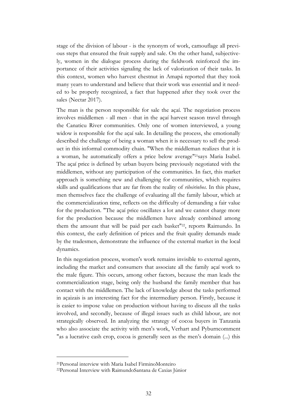stage of the division of labour - is the synonym of work, camouflage all previous steps that ensured the fruit supply and sale. On the other hand, subjectively, women in the dialogue process during the fieldwork reinforced the importance of their activities signaling the lack of valorization of their tasks. In this context, women who harvest chestnut in Amapá reported that they took many years to understand and believe that their work was essential and it needed to be properly recognized, a fact that happened after they took over the sales (Nectar 2017).

The man is the person responsible for sale the açaí. The negotiation process involves middlemen - all men - that in the açaí harvest season travel through the Canaticu River communities. Only one of women interviewed, a young widow is responsible for the açaí sale. In detailing the process, she emotionally described the challenge of being a woman when it is necessary to sell the product in this informal commodity chain. "When the middleman realizes that it is a woman, he automatically offers a price below average" <sup>21</sup>says Maria Isabel. The açaí price is defined by urban buyers being previously negotiated with the middlemen, without any participation of the communities. In fact, this market approach is something new and challenging for communities, which requires skills and qualifications that are far from the reality of *ribeirinhos*. In this phase, men themselves face the challenge of evaluating all the family labour, which at the commercialization time, reflects on the difficulty of demanding a fair value for the production. "The açaí price oscillates a lot and we cannot charge more for the production because the middlemen have already combined among them the amount that will be paid per each basket"<sup>22</sup>, reports Raimundo. In this context, the early definition of prices and the fruit quality demands made by the tradesmen, demonstrate the influence of the external market in the local dynamics.

In this negotiation process, women's work remains invisible to external agents, including the market and consumers that associate all the family açaí work to the male figure. This occurs, among other factors, because the man leads the commercialization stage, being only the husband the family member that has contact with the middlemen. The lack of knowledge about the tasks performed in açaizais is an interesting fact for the intermediary person. Firstly, because it is easier to impose value on production without having to discuss all the tasks involved, and secondly, because of illegal issues such as child labour, are not strategically observed. In analyzing the strategy of cocoa buyers in Tanzania who also associate the activity with men's work, Verhart and Pyburncomment "as a lucrative cash crop, cocoa is generally seen as the men's domain (...) this

<sup>21</sup>Personal interview with Maria Isabel FirminoMonteiro

<sup>22</sup>Personal Interview with RaimundoSantana de Caxias Júnior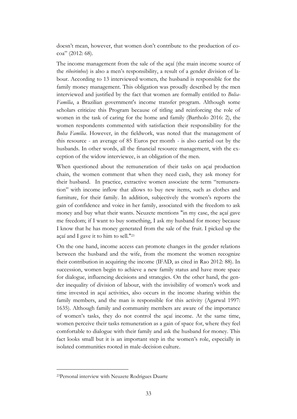doesn't mean, however, that women don't contribute to the production of cocoa" (2012: 68).

The income management from the sale of the açaí (the main income source of the *ribeirinhos*) is also a men's responsibility, a result of a gender division of labour. According to 13 interviewed women, the husband is responsible for the family money management. This obligation was proudly described by the men interviewed and justified by the fact that women are formally entitled to *Bolsa-Família*, a Brazilian government's income transfer program. Although some scholars criticize this Program because of titling and reinforcing the role of women in the task of caring for the home and family (Bartholo 2016: 2), the women respondents commented with satisfaction their responsibility for the *Bolsa Família*. However, in the fieldwork, was noted that the management of this resource - an average of 85 Euros per month - is also carried out by the husbands. In other words, all the financial resource management, with the exception of the widow interviewee, is an obligation of the men.

When questioned about the remuneration of their tasks on açaí production chain, the women comment that when they need cash, they ask money for their husband. In practice, extractive women associate the term "remuneration" with income inflow that allows to buy new items, such as clothes and furniture, for their family. In addition, subjectively the women's reports the gain of confidence and voice in her family, associated with the freedom to ask money and buy what their wants. Neuzete mentions "in my case, the açaí gave me freedom; if I want to buy something, I ask my husband for money because I know that he has money generated from the sale of the fruit. I picked up the açaí and I gave it to him to sell." 23

On the one hand, income access can promote changes in the gender relations between the husband and the wife, from the moment the women recognize their contribution in acquiring the income (IFAD, as cited in Rao 2012: 88). In succession, women begin to achieve a new family status and have more space for dialogue, influencing decisions and strategies. On the other hand, the gender inequality of division of labour, with the invisibility of women's work and time invested in açaí activities, also occurs in the income sharing within the family members, and the man is responsible for this activity (Agarwal 1997: 1635). Although family and community members are aware of the importance of women's tasks, they do not control the açaí income. At the same time, women perceive their tasks remuneration as a gain of space for, where they feel comfortable to dialogue with their family and ask the husband for money. This fact looks small but it is an important step in the women's role, especially in isolated communities rooted in male-decision culture.

<sup>23</sup>Personal interview with Neuzete Rodrigues Duarte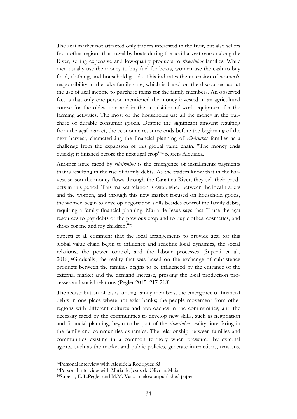The açaí market not attracted only traders interested in the fruit, but also sellers from other regions that travel by boats during the açaí harvest season along the River, selling expensive and low-quality products to *ribeirinhos* families. While men usually use the money to buy fuel for boats, women use the cash to buy food, clothing, and household goods. This indicates the extension of women's responsibility in the take family care, which is based on the discoursed about the use of açaí income to purchase items for the family members. An observed fact is that only one person mentioned the money invested in an agricultural course for the oldest son and in the acquisition of work equipment for the farming activities. The most of the households use all the money in the purchase of durable consumer goods. Despite the significant amount resulting from the açaí market, the economic resource ends before the beginning of the next harvest, characterizing the financial planning of *ribeirinhos* families as a challenge from the expansion of this global value chain. "The money ends quickly; it finished before the next açaí crop" <sup>24</sup> regrets Alquidea.

Another issue faced by *ribeirinhos* is the emergence of installments payments that is resulting in the rise of family debts. As the traders know that in the harvest season the money flows through the Canaticu River, they sell their products in this period. This market relation is established between the local traders and the women, and through this new market focused on household goods, the women begin to develop negotiation skills besides control the family debts, requiring a family financial planning. Maria de Jesus says that "I use the açaí resources to pay debts of the previous crop and to buy clothes, cosmetics, and shoes for me and my children."<sup>25</sup>

Superti et al. comment that the local arrangements to provide açaí for this global value chain begin to influence and redefine local dynamics, the social relations, the power control, and the labour processes (Superti et al., 2018)26Gradually, the reality that was based on the exchange of subsistence products between the families begins to be influenced by the entrance of the external market and the demand increase, pressing the local production processes and social relations (Pegler 2015: 217-218).

The redistribution of tasks among family members; the emergence of financial debts in one place where not exist banks; the people movement from other regions with different cultures and approaches in the communities; and the necessity faced by the communities to develop new skills, such as negotiation and financial planning, begin to be part of the *ribeirinhos* reality, interfering in the family and communities dynamics. The relationship between families and communities existing in a common territory when pressured by external agents, such as the market and public policies, generate interactions, tensions,

<sup>24</sup>Personal interview with Alquidéia Rodrigues Sá

<sup>25</sup>Personal interview with Maria de Jesus de Oliveira Maia

<sup>26</sup>Superti, E.,L.Pegler and M.M. Vasconcelos: unpublished paper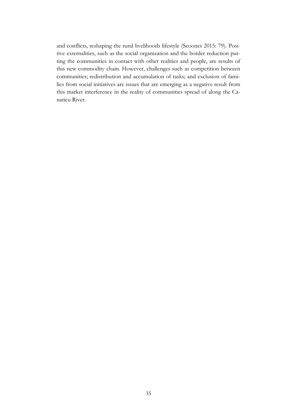and conflicts, reshaping the rural livelihoods lifestyle (Scoones 2015: 79). Positive externalities, such as the social organization and the border reduction putting the communities in contact with other realities and people, are results of this new commodity chain. However, challenges such as competition between communities; redistribution and accumulation of tasks; and exclusion of families from social initiatives are issues that are emerging as a negative result from this market interference in the reality of communities spread of along the Canaticu River.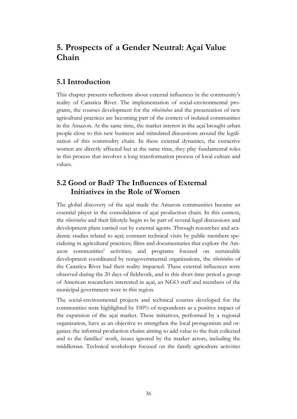# **5. Prospects of a Gender Neutral: Açaí Value Chain**

## **5.1 Introduction**

This chapter presents reflections about external influences in the community's reality of Canaticu River. The implementation of social-environmental programs, the courses development for the *ribeirinhos* and the presentation of new agricultural practices are becoming part of the context of isolated communities in the Amazon. At the same time, the market interest in the açaí brought urban people close to this new business and stimulated discussions around the legalization of this commodity chain. In these external dynamics, the extractive women are directly affected but at the same time, they play fundamental roles in this process that involves a long transformation process of local culture and values.

## **5.2 Good or Bad? The Influences of External Initiatives in the Role of Women**

The global discovery of the açaí made the Amazon communities became an essential player in the consolidation of açaí production chain. In this context, the *ribeirinhos* and their lifestyle begin to be part of several legal discussions and development plans carried out by external agents. Through researches and academic studies related to açaí; constant technical visits by public members specializing in agricultural practices; films and documentaries that explore the Amazon communities' activities; and programs focused on sustainable development coordinated by nongovernmental organizations, the *ribeirinhos* of the Canaticu River had their reality impacted. These external influences were observed during the 20 days of fieldwork, and in this short time period a group of American researchers interested in açaí, an NGO staff and members of the municipal government were in this region.

The social-environmental projects and technical courses developed for the communities were highlighted by 100% of respondents as a positive impact of the expansion of the açaí market. These initiatives, performed by a regional organization, have as an objective to strengthen the local protagonism and organize the informal production chains aiming to add value to the fruit collected and to the families' work, issues ignored by the market actors, including the middleman. Technical workshops focused on the family agriculture activities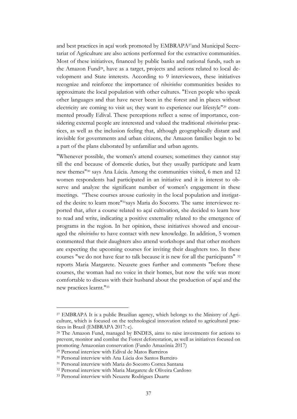and best practices in açaí work promoted by EMBRAPA27and Municipal Secretariat of Agriculture are also actions performed for the extractive communities. Most of these initiatives, financed by public banks and national funds, such as the Amazon Fund<sup>28</sup>, have as a target, projects and actions related to local development and State interests. According to 9 interviewees, these initiatives recognize and reinforce the importance of *ribeirinhos* communities besides to approximate the local population with other cultures. "Even people who speak other languages and that have never been in the forest and in places without electricity are coming to visit us; they want to experience our lifestyle"<sup>29</sup> commented proudly Edival. These perceptions reflect a sense of importance, considering external people are interested and valued the traditional *ribeirinhos* practices, as well as the inclusion feeling that, although geographically distant and invisible for governments and urban citizens, the Amazon families begin to be a part of the plans elaborated by unfamiliar and urban agents.

"Whenever possible, the women's attend courses; sometimes they cannot stay till the end because of domestic duties, but they usually participate and learn new themes"<sup>30</sup> says Ana Lúcia. Among the communities visited, 6 men and 12 women respondents had participated in an initiative and it is interest to observe and analyze the significant number of women's engagement in these meetings. "These courses arouse curiosity in the local population and instigated the desire to learn more" 31says Maria do Socorro. The same interviewee reported that, after a course related to açaí cultivation, she decided to learn how to read and write, indicating a positive externality related to the emergence of programs in the region. In her opinion, these initiatives showed and encouraged the *ribeirinhos* to have contact with new knowledge. In addition, 5 women commented that their daughters also attend workshops and that other mothers are expecting the upcoming courses for inviting their daughters too. In these courses "we do not have fear to talk because it is new for all the participants" <sup>32</sup> reports Maria Margarete. Neuzete goes further and comments "before these courses, the woman had no voice in their homes, but now the wife was more comfortable to discuss with their husband about the production of açaí and the new practices learnt."<sup>33</sup>

<sup>27</sup> EMBRAPA It is a public Brazilian agency, which belongs to the Ministry of Agriculture, which is focused on the technological innovation related to agricultural practices in Brazil (EMBRAPA 2017: c).

<sup>28</sup> The Amazon Fund, managed by BNDES, aims to raise investments for actions to prevent, monitor and combat the Forest deforestation, as well as initiatives focused on promoting Amazonian conservation (Fundo Amazônia 2017)

<sup>29</sup> Personal interview with Edival de Matos Barreiros

<sup>30</sup> Personal interview with Ana Lúcia dos Santos Barreiro

<sup>31</sup> Personal interview with Maria do Socorro Correa Santana

<sup>32</sup> Personal interview with Maria Margarete de Oliveira Cardoso

<sup>33</sup> Personal interview with Neuzete Rodrigues Duarte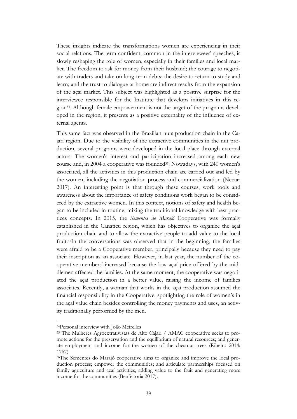These insights indicate the transformations women are experiencing in their social relations. The term confident, common in the interviewees' speeches, is slowly reshaping the role of women, especially in their families and local market. The freedom to ask for money from their husband; the courage to negotiate with traders and take on long-term debts; the desire to return to study and learn; and the trust to dialogue at home are indirect results from the expansion of the açaí market. This subject was highlighted as a positive surprise for the interviewee responsible for the Institute that develops initiatives in this region34. Although female empowerment is not the target of the programs developed in the region, it presents as a positive externality of the influence of external agents.

This same fact was observed in the Brazilian nuts production chain in the Cajarí region. Due to the visibility of the extractive communities in the nut production, several programs were developed in the local place through external actors. The women's interest and participation increased among each new course and, in 2004 a cooperative was founded<sup>35</sup>. Nowadays, with 240 women's associated, all the activities in this production chain are carried out and led by the women, including the negotiation process and commercialization (Nectar 2017). An interesting point is that through these courses, work tools and awareness about the importance of safety conditions work began to be considered by the extractive women. In this context, notions of safety and health began to be included in routine, mixing the traditional knowledge with best practices concepts. In 2015, the *Sementes do Marajó* Cooperative was formally established in the Canaticu region, which has objectives to organize the açaí production chain and to allow the extractive people to add value to the local fruit. <sup>36</sup>In the conversations was observed that in the beginning, the families were afraid to be a Cooperative member, principally because they need to pay their inscription as an associate. However, in last year, the number of the cooperative members' increased because the low açaí price offered by the middlemen affected the families. At the same moment, the cooperative was negotiated the açaí production in a better value, raising the income of families associates. Recently, a woman that works in the açaí production assumed the financial responsibility in the Cooperative, spotlighting the role of women's in the açaí value chain besides controlling the money payments and uses, an activity traditionally performed by the men.

<sup>34</sup>Personal interview with João Meirelles

<sup>35</sup> The Mulheres Agroextrativistas de Alto Cajari / AMAC cooperative seeks to promote actions for the preservation and the equilibrium of natural resources; and generate employment and income for the women of the chestnut trees (Ribeiro 2014: 1767).

<sup>36</sup>The Sementes do Marajó cooperative aims to organize and improve the local production process; empower the communities; and articulate partnerships focused on family agriculture and açaí activities, adding value to the fruit and generating more income for the communities (Benfeitoria 2017).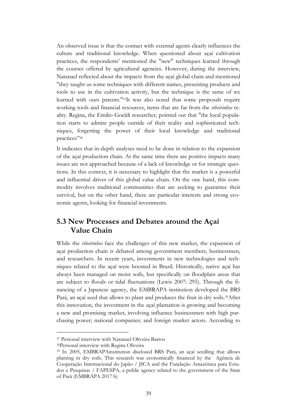An observed issue is that the contact with external agents clearly influences the culture and traditional knowledge. When questioned about açaí cultivation practices, the respondents' mentioned the "new" techniques learned through the courses offered by agricultural agencies. However, during the interview, Natanael reflected about the impacts from the açaí global chain and mentioned "they taught us some techniques with different names, presenting products and tools to use in the cultivation activity, but the technique is the same of we learned with ours parents." <sup>37</sup>It was also noted that some proposals require working tools and financial resources, items that are far from the *ribeirinhos* reality. Regina, the Emilio Goeldi researcher, pointed out that "the local population starts to admire people outside of their reality and sophisticated techniques, forgetting the power of their local knowledge and traditional practices"<sup>38</sup>

It indicates that in-depth analyses need to be done in relation to the expansion of the açaí production chain. At the same time there are positive impacts many issues are not approached because of a lack of knowledge or for strategic questions. In this context, it is necessary to highlight that the market is a powerful and influential driver of this global value chain. On the one hand, this commodity involves traditional communities that are seeking to guarantee their survival, but on the other hand, there are particular interests and strong economic agents, looking for financial investments.

## **5.3 New Processes and Debates around the Açaí Value Chain**

While the *ribeirinhos* face the challenges of this new market, the expansion of açaí production chain is debated among government members, businessmen, and researchers. In recent years, investments in new technologies and techniques related to the açaí were boosted in Brazil. Historically, native açaí has always been managed on moist soils, but specifically on floodplain areas that are subject to floods or tidal fluctuations (Lewis 2007: 295). Through the financing of a Japanese agency, the EMBRAPA institution developed the BRS Pará, an acaí seed that allows to plant and produces the fruit in dry soils.<sup>39</sup>After this innovation, the investment in the açaí plantation is growing and becoming a new and promising market, involving influence businessmen with high purchasing power; national companies; and foreign market actors. According to

<sup>37</sup> Personal interview with Natanael Oliveira Barros

<sup>38</sup>Personal interview with Regina Oliveira

<sup>39</sup> In 2005, EMBRAPAinstitution disclosed BRS Pará, an açaí seedling that allows planting in dry soils. This research was economically financed by the Agência de Cooperação Internacional do Japão / JICA and the Fundação Amazônica para Estudos e Pesquisas / FAPESPA, a public agency related to the government of the State of Pará (EMBRAPA 2017 b)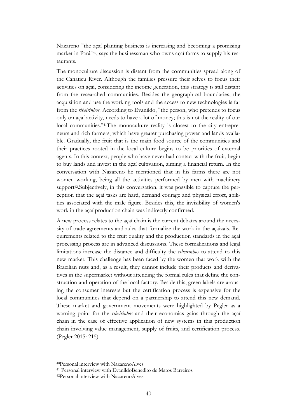Nazareno "the açaí planting business is increasing and becoming a promising market in Pará"40, says the businessman who owns açaí farms to supply his restaurants.

The monoculture discussion is distant from the communities spread along of the Canaticu River. Although the families pressure their selves to focus their activities on açaí, considering the income generation, this strategy is still distant from the researched communities. Besides the geographical boundaries, the acquisition and use the working tools and the access to new technologies is far from the *ribeirinhos*. According to Evanildo, "the person, who pretends to focus only on açaí activity, needs to have a lot of money; this is not the reality of our local communities."<sup>41</sup>The monoculture reality is closest to the city entrepreneurs and rich farmers, which have greater purchasing power and lands available. Gradually, the fruit that is the main food source of the communities and their practices rooted in the local culture begins to be priorities of external agents. In this context, people who have never had contact with the fruit, begin to buy lands and invest in the açaí cultivation, aiming a financial return. In the conversation with Nazareno he mentioned that in his farms there are not women working, being all the activities performed by men with machinery support<sup>42</sup>. Subjectively, in this conversation, it was possible to capture the perception that the açaí tasks are hard, demand courage and physical effort, abilities associated with the male figure. Besides this, the invisibility of women's work in the açaí production chain was indirectly confirmed.

A new process relates to the açaí chain is the current debates around the necessity of trade agreements and rules that formalize the work in the açaizais. Requirements related to the fruit quality and the production standards in the açaí processing process are in advanced discussions. These formalizations and legal limitations increase the distance and difficulty the *ribeirinhos* to attend to this new market. This challenge has been faced by the women that work with the Brazilian nuts and, as a result, they cannot include their products and derivatives in the supermarket without attending the formal rules that define the construction and operation of the local factory. Beside this, green labels are arousing the consumer interests but the certification process is expensive for the local communities that depend on a partnership to attend this new demand. These market and government movements were highlighted by Pegler as a warning point for the *ribeirinhos* and their economics gains through the açaí chain in the case of effective application of new systems in this production chain involving value management, supply of fruits, and certification process. (Pegler 2015: 215)

<sup>40</sup>Personal interview with NazarenoAlves

<sup>41</sup> Personal interview with EvanildoBenedito de Matos Barreiros

<sup>42</sup>Personal interview with NazarenoAlves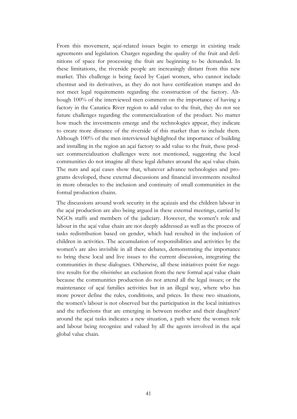From this movement, açaí-related issues begin to emerge in existing trade agreements and legislation. Charges regarding the quality of the fruit and definitions of space for processing the fruit are beginning to be demanded. In these limitations, the riverside people are increasingly distant from this new market. This challenge is being faced by Cajari women, who cannot include chestnut and its derivatives, as they do not have certification stamps and do not meet legal requirements regarding the construction of the factory. Although 100% of the interviewed men comment on the importance of having a factory in the Canaticu River region to add value to the fruit, they do not see future challenges regarding the commercialization of the product. No matter how much the investments emerge and the technologies appear, they indicate to create more distance of the riverside of this market than to include them. Although 100% of the men interviewed highlighted the importance of building and installing in the region an açaí factory to add value to the fruit, these product commercialization challenges were not mentioned, suggesting the local communities do not imagine all these legal debates around the açaí value chain. The nuts and açaí cases show that, whatever advance technologies and programs developed, these external discussions and financial investments resulted in more obstacles to the inclusion and continuity of small communities in the formal production chains.

The discussions around work security in the açaizais and the children labour in the açaí production are also being argued in these external meetings, carried by NGOs staffs and members of the judiciary. However, the women's role and labour in the açaí value chain are not deeply addressed as well as the process of tasks redistribution based on gender, which had resulted in the inclusion of children in activities. The accumulation of responsibilities and activities by the women's are also invisible in all these debates, demonstrating the importance to bring these local and live issues to the current discussion, integrating the communities in these dialogues. Otherwise, all these initiatives point for negative results for the *ribeirinhos*: an exclusion from the new formal açaí value chain because the communities production do not attend all the legal issues; or the maintenance of açaí families activities but in an illegal way, where who has more power define the rules, conditions, and prices. In these two situations, the women's labour is not observed but the participation in the local initiatives and the reflections that are emerging in between mother and their daughters' around the açaí tasks indicates a new situation, a path where the women role and labour being recognize and valued by all the agents involved in the açaí global value chain.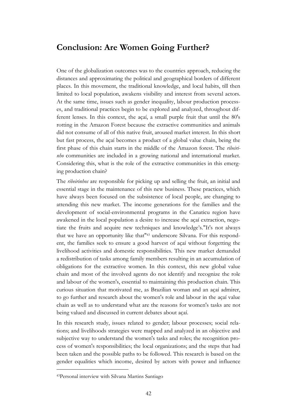## **Conclusion: Are Women Going Further?**

One of the globalization outcomes was to the countries approach, reducing the distances and approximating the political and geographical borders of different places. In this movement, the traditional knowledge, and local habits, till then limited to local population, awakens visibility and interest from several actors. At the same time, issues such as gender inequality, labour production processes, and traditional practices begin to be explored and analyzed, throughout different lenses. In this context, the açaí, a small purple fruit that until the 80's rotting in the Amazon Forest because the extractive communities and animals did not consume of all of this native fruit, aroused market interest. In this short but fast process, the açaí becomes a product of a global value chain, being the first phase of this chain starts in the middle of the Amazon forest. The *ribeirinho* communities are included in a growing national and international market. Considering this, what is the role of the extractive communities in this emerging production chain?

The *ribeirinhos* are responsible for picking up and selling the fruit, an initial and essential stage in the maintenance of this new business. These practices, which have always been focused on the subsistence of local people, are changing to attending this new market. The income generations for the families and the development of social-environmental programs in the Canaticu region have awakened in the local population a desire to increase the açaí extraction, negotiate the fruits and acquire new techniques and knowledge's."It's not always that we have an opportunity like that"<sup>43</sup> underscore Silvana. For this respondent, the families seek to ensure a good harvest of açaí without forgetting the livelihood activities and domestic responsibilities. This new market demanded a redistribution of tasks among family members resulting in an accumulation of obligations for the extractive women. In this context, this new global value chain and most of the involved agents do not identify and recognize the role and labour of the women's, essential to maintaining this production chain. This curious situation that motivated me, as Brazilian woman and an açaí admirer, to go further and research about the women's role and labour in the açaí value chain as well as to understand what are the reasons for women's tasks are not being valued and discussed in current debates about açaí.

In this research study, issues related to gender; labour processes; social relations; and livelihoods strategies were mapped and analyzed in an objective and subjective way to understand the women's tasks and roles; the recognition process of women's responsibilities; the local organizations; and the steps that had been taken and the possible paths to be followed. This research is based on the gender equalities which income, desired by actors with power and influence

<sup>43</sup>Personal interview with Silvana Martins Santiago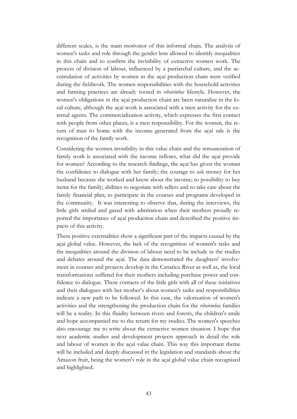different scales, is the main motivator of this informal chain. The analysis of women's tasks and role through the gender lens allowed to identify inequalities in this chain and to confirm the invisibility of extractive women work. The process of division of labour, influenced by a patriarchal culture, and the accumulation of activities by women in the açaí production chain were verified during the fieldwork. The women responsibilities with the household activities and farming practices are already rooted in *ribeirinhos* lifestyle. However, the women's obligations in the açaí production chain are been naturalize in the local culture, although the açaí work is associated with a men activity for the external agents. The commercialization activity, which expresses the first contact with people from other places, is a men responsibility. For the women, the return of man to home with the income generated from the açaí sale is the recognition of the family work.

Considering the women invisibility in this value chain and the remuneration of family work is associated with the income inflows, what did the açaí provide for women? According to the research findings, the açaí has given the woman the confidence to dialogue with her family; the courage to ask money for her husband because she worked and know about the income; to possibility to buy items for the family; abilities to negotiate with sellers and to take care about the family financial plan; to participate in the courses and programs developed in the community. It was interesting to observe that, during the interviews, the little girls smiled and gazed with admiration when their mothers proudly reported the importance of açaí production chain and described the positive impacts of this activity.

These positive externalities show a significant part of the impacts caused by the açaí global value. However, the lack of the recognition of women's tasks and the inequalities around the division of labour need to be include in the studies and debates around the açaí. The data demonstrated the daughters' involvement in courses and projects develop in the Canaticu River as well as, the local transformations suffered for their mothers including purchase power and confidence to dialogue. These contacts of the little girls with all of these initiatives and their dialogues with her mother's about women's tasks and responsibilities indicate a new path to be followed. In this case, the valorization of women's activities and the strengthening the production chain for the *ribeirinhos* families will be a reality. In this fluidity between rivers and forests, the children's smile and hope accompanied me to the return for my studies. The women's speeches also encourage me to write about the extractive women situation. I hope that next academic studies and development projects approach in detail the role and labour of women in the açaí value chain. This way this important theme will be included and deeply discussed in the legislation and standards about the Amazon fruit, being the women's role in the açaí global value chain recognized and highlighted.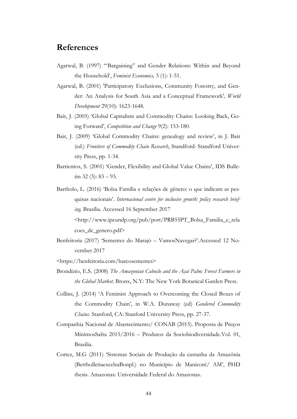## **References**

- Agarwal, B. (1997) '["Bargaining" and Gender Relations: Within](http://dx.doi.org/10.1080/135457097338799) and Beyond [the Household](http://dx.doi.org/10.1080/135457097338799)', *Feminist Economics,* 3 (1): 1-51.
- Agarwal, B. (2001) 'Participatory Exclusions, Community Forestry, and Gender: An Analysis for South Asia and a Conceptual Framework'*, World Development* 29(10): 1623-1648.
- Bair, J. (2005) 'Global Capitalism and Commodity Chains: Looking Back, Going Forward', *Competition and Change* 9(2): 153-180.
- Bair, J. (2009) 'Global Commodity Chains: genealogy and review', in J. Bair (ed.) *Frontiers of Commodity Chain Research*, Standford: Standford University Press, pp. 1-34.
- Barrientos, S. (2001) 'Gender, Flexibility and Global Value Chains', IDS Bulletin 32 (3): 83 – 93.
- Bartholo, L. (2016) 'Bolsa Família e relações de gênero: o que indicam as pesquisas nacionais'. *Internacional centre for inclusive growth: policy research briefing.* Brasília. Accessed 16 September 2017 ˂http://www.ipcundp.org/pub/port/PRB55PT\_Bolsa\_Familia\_e\_rela

coes\_de\_genero.pdf>

- Benfeitoria (2017) 'Sementes do Marajó VamosNavegar?'.Accessed 12 November 2017
- ˂https://benfeitoria.com/barcosementes˃
- Brondízio, E.S. (2008) *The Amazonian Caboclo and the Açaí Palm: Forest Farmers in the Global Market*. Bronx, N.Y: The New York Botanical Garden Press.
- Collins, J. (2014) 'A Feminist Approach to Overcoming the Closed Boxes of the Commodity Chain', in W.A. Dunaway (ed) *Gendered Commodity Chains*. Stanford, CA: Stanford University Press, pp. 27-37.
- Companhia Nacional de Abastecimento/ CONAB (2015). Proposta de Preços MínimosSafra 2015/2016 – Produtos da Sociobiodiversidade.Vol. 01, Brasilia.
- Cortez, M.G (2011) 'Sistemas Sociais de Produção da castanha da Amazônia (BertholletiaexcelsaBonpl.) no Município de Manicoré/ AM', PHD thesis. Amazonas: Universidade Federal do Amazonas.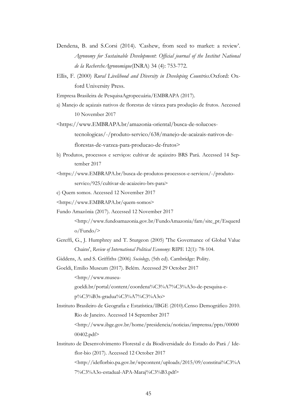- Dendena, B. and S.Corsi (2014). 'Cashew, from seed to market: a review'. *Agronomy for Sustainable Development*: *Official journal of the Institut National de la RechercheAgronomique*(INRA) 34 (4): 753-772.
- Ellis, F. (2000) *Rural Livelihood and Diversity in Developing Countries*.Oxford: Oxford University Press.

Empresa [Brasileira de PesquisaAgropecuária/](https://www.embrapa.br/)EMBRAPA (2017).

a) Manejo de açaizais nativos de florestas de várzea para produção de frutos. Accessed 10 November 2017

˂https://www.EMBRAPA.br/amazonia-oriental/busca-de-solucoestecnologicas/-/produto-servico/638/manejo-de-acaizais-nativos-deflorestas-de-varzea-para-producao-de-frutos>

- b) Produtos, processos e serviços: cultivar de açaizeiro BRS Pará. Accessed 14 September 2017
- ˂https://www.EMBRAPA.br/busca-de-produtos-processos-e-servicos/-/produtoservico/925/cultivar-de-acaizeiro-brs-para>

c) Quem somos. Accessed 12 November 2017

- ˂https://www.EMBRAPA.br/quem-somos˃
- Fundo Amazônia (2017). Accessed 12 November 2017

˂http://www.fundoamazonia.gov.br/FundoAmazonia/fam/site\_pt/Esquerd o/Fundo/˃

Gereffi, G., J. Humphrey and T. Sturgeon (2005) 'The Governance of Global Value Chains', *Review of International Political Economy*: RIPE 12(1): 78-104.

Giddens, A. and S. Griffiths (2006) *Sociology,* (5th ed). Cambridge: Polity.

Goeldi, Emilio Museum (2017). Belém. Accessed 29 October 2017 ˂http://www.museu-

goeldi.br/portal/content/coordena%C3%A7%C3%A3o-de-pesquisa-e-

p%C3%B3s-gradua%C3%A7%C3%A3o˃

Instituto Brasileiro de Geografia e Estatística/IBGE (2010).Censo Demográfico 2010. Rio de Janeiro. Accessed 14 September 2017

˂http://www.ibge.gov.br/home/presidencia/noticias/imprensa/ppts/00000 00402.pdf>

Instituto de Desenvolvimento Florestal e da Biodiversidade do Estado do Pará / Ideflor-bio (2017). Accessed 12 October 2017

˂http://ideflorbio.pa.gov.br/wpcontent/uploads/2015/09/constitui%C3%A 7%C3%A3o-estadual-APA-Maraj%C3%B3.pdf>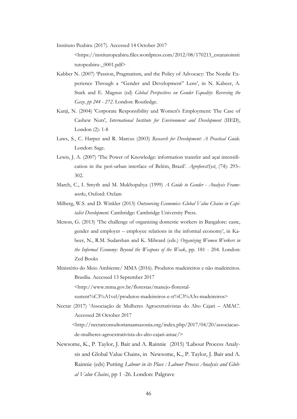Instituto Peabiru (2017). Accessed 14 October 2017 ˂https://institutopeabiru.files.wordpress.com/2012/08/170213\_estatutoinsti tutopeabiru- 0001.pdf>

- Kabber N. (2007) 'Passion, Pragmatism, and the Policy of Advocacy: The Nordic Experience Through a "Gender and Development" Lens', in N. Kabeer, A. Stark and E. Magnus (ed) *Global Perspectives on Gender Equality*: *Reversing the Gaze, pp 244 - 272*. London: Routledge.
- Kanji, N. (2004) 'Corporate Responsibility and Women's Employment: The Case of Cashew Nuts', *International Institute for Environment and Development* (IIED), London (2): 1-8
- Laws, S., C. Harper and R. Marcus (2003) *Research for Development: A Practical Guide.* London: Sage.
- Lewis, J. A. (2007) 'The Power of Knowledge: information transfer and açaí intensification in the peri-urban interface of Belém, Brazil'. *AgroforestSyst*, (74): 293– 302.
- March, C., I. Smyth and M. Mukhopahya (1999) *A Guide to Gender - Analysis Frameworks*, Oxford: Oxfam
- Milberg, W.S. and D. Winkler (2013) *Outsourcing Economics: Global Value Chains in Capitalist Development*. Cambridge: Cambridge University Press.
- Menon, G. (2013) 'The challenge of organizing domestic workers in Bangalore: caste, gender and employer – employee relations in the informal economy', in Kabeer, N., R.M. Sudarshan and K. Milward (eds.) *Organizing Women Workers in the Informal Economy: Beyond the Weapons of the Weak*, pp. 181 - 204. London: Zed Books
- Ministério do Meio Ambiente/ MMA (2016). Produtos madeireiros e não madeireiros. Brasília. Accessed 13 September 2017

˂[http://www.mma.gov.br/florestas/manejo-florestal-](http://www.mma.gov.br/florestas/manejo-florestal-sustent%C3%A1vel/produtos-madeireiros-e-n%C3%A3o-madeireiros)

[sustent%C3%A1vel/produtos-madeireiros-e-n%C3%A3o-madeireiros](http://www.mma.gov.br/florestas/manejo-florestal-sustent%C3%A1vel/produtos-madeireiros-e-n%C3%A3o-madeireiros)>

Nectar (2017) 'Associação de Mulheres Agroextrativistas do Alto Cajari – AMAC'. Accessed 28 October 2017

˂http://nectarconsultorianaamazonia.org/index.php/2017/04/20/associacaode-mulheres-agroextrativista-do-alto-cajari-amac/˃

Newsome, K., P. Taylor, J. Bair and A. Rainnie (2015) 'Labour Process Analysis and Global Value Chains, in Newsome, K., P. Taylor, J. Bair and A. Rainnie (eds) Putting *Labour in its Place : Labour Process Analysis and Global Value Chains*, pp 1 -26. London: Palgrave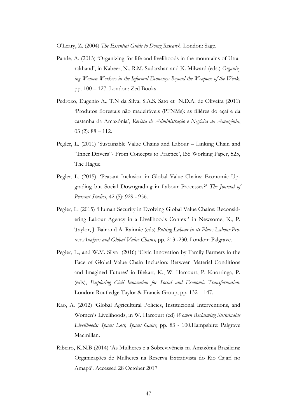O'Leary, Z. (2004) *The Essential Guide to Doing Research*. London: Sage.

- Pande, A. (2013) 'Organizing for life and livelihoods in the mountains of Uttarakhand', in Kabeer, N., R.M. Sudarshan and K. Milward (eds.) *Organizing Women Workers in the Informal Economy: Beyond the Weapons of the Weak*, pp. 100 – 127. London: Zed Books
- Pedrozo, Eugenio A., T.N da Silva, S.A.S. Sato et N.D.A. de Oliveira (2011) 'Produtos florestais não madeiráveis (PFNMs): as filières do açaí e da castanha da Amazônia', *Revista de Administração e Negócios da Amazônia*,  $03$  (2):  $88 - 112$ .
- Pegler, L. (2011) 'Sustainable Value Chains and Labour Linking Chain and "Inner Drivers"- From Concepts to Practice', ISS Working Paper, 525, The Hague.
- Pegler, L. (2015). 'Peasant Inclusion in Global Value Chains: Economic Upgrading but Social Downgrading in Labour Processes?' *The Journal of Peasant Studies*, 42 (5): 929 - 956.
- Pegler, L. (2015) 'Human Security in Evolving Global Value Chains: Reconsidering Labour Agency in a Livelihoods Context' in Newsome, K., P. Taylor, J. Bair and A. Rainnie (eds) *Putting Labour in its Place: Labour Process Analysis and Global Value Chains,* pp. 213 -230. London: Palgrave.
- Pegler, L., and W.M. Silva (2016) 'Civic Innovation by Family Farmers in the Face of Global Value Chain Inclusion: Between Material Conditions and Imagined Futures' in Biekart, K., W. Harcourt, P. Knorringa, P. (eds), *Exploring Civil Innovation for Social and Economic Transformation*. London: Routledge Taylor & Francis Group, pp. 132 – 147.
- Rao, A. (2012) 'Global Agricultural Policies, Institucional Interventions, and Women's Livelihoods, in W. Harcourt (ed) *Women Reclaiming Sustainable Livelihoods: Spaces Lost, Spaces Gaine,* pp. 83 - 100.Hampshire: Palgrave Macmillan.
- Ribeiro, K.N.B (2014) 'As Mulheres e a Sobrevivência na Amazônia Brasileira: Organizações de Mulheres na Reserva Extrativista do Rio Cajarí no Amapá'. Accessed 28 October 2017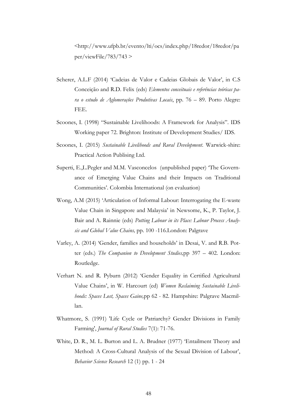˂http://www.ufpb.br/evento/lti/ocs/index.php/18redor/18redor/pa  $per/viewFile/783/743$  >

- Scherer, A.L.F (2014) 'Cadeias de Valor e Cadeias Globais de Valor', in C.S Conceição and R.D. Felix (eds) *Elementos conceituais e referências teóricas para o estudo de Aglomerações Produtivas Locais*, pp. 76 – 89. Porto Alegre: FEE.
- Scoones, I. (1998) "Sustainable Livelihoods: A Framework for Analysis". IDS Working paper 72. Brighton: Institute of Development Studies/ IDS.
- Scoones, I. (2015) *Sustainable Livelihoods and Rural Development*. Warwick-shire: Practical Action Publising Ltd.
- Superti, E.,L.Pegler and M.M. Vasconcelos (unpublished paper) 'The Governance of Emerging Value Chains and their Impacts on Traditional Communities'. Colombia International (on evaluation)
- Wong, A.M (2015) 'Articulation of Informal Labour: Interrogating the E-waste Value Chain in Singapore and Malaysia' in Newsome, K., P. Taylor, J. Bair and A. Rainnie (eds) *Putting Labour in its Place: Labour Process Analysis and Global Value Chains,* pp. 100 -116.London: Palgrave
- Varley, A. (2014) 'Gender, families and households' in Desai, V. and R.B. Potter (eds.) *The Companion to Development Studies,*pp 397 – 402. London: Routledge.
- Verhart N. and R. Pyburn (2012) 'Gender Equality in Certified Agricultural Value Chains', in W. Harcourt (ed) *Women Reclaiming Sustainable Livelihoods: Spaces Lost, Spaces Gaine,*pp 62 - 82*.* Hampshire: Palgrave Macmillan.
- Whatmore, S. (1991) 'Life Cycle or Patriarchy? Gender Divisions in Family Farming', *Journal of Rural Studies* 7(1): 71-76.
- White, D. R., M. L. Burton and L. A. Brudner (1977) 'Entailment Theory and Method: A Cross-Cultural Analysis of the Sexual Division of Labour', *Behavior Science Research* 12 (1) pp. 1 - 24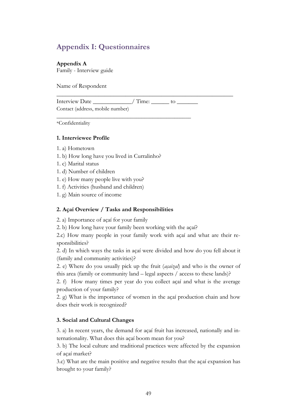## **Appendix I: Questionnaires**

#### **Appendix A**

Family - Interview guide

Name of Respondent

Interview Date  $/$  Time: to Contact (address, mobile number)

\*Confidentiality

#### **1. Interviewee Profile**

- 1. a) Hometown
- 1. b) How long have you lived in Curralinho?

\_\_\_\_\_\_\_\_\_\_\_\_\_\_\_\_\_\_\_\_\_\_\_\_\_\_\_\_\_\_\_\_\_\_\_\_\_\_\_\_\_\_\_\_\_\_\_\_\_

- 1. c) Marital status
- 1. d) Number of children
- 1. e) How many people live with you?
- 1. f) Activities (husband and children)
- 1. g) Main source of income

#### **2. Açaí Overview / Tasks and Responsibilities**

2. a) Importance of açaí for your family

2. b) How long have your family been working with the açaí?

2.c) How many people in your family work with açaí and what are their responsibilities?

\_\_\_\_\_\_\_\_\_\_\_\_\_\_\_\_\_\_\_\_\_\_\_\_\_\_\_\_\_\_\_\_\_\_\_\_\_\_\_\_\_\_\_\_\_\_\_\_\_\_\_\_\_\_\_\_\_\_\_

2. d) In which ways the tasks in açaí were divided and how do you fell about it (family and community activities)?

2. e) Where do you usually pick up the fruit (*açaizal*) and who is the owner of this area (family or community land – legal aspects / access to these lands)?

2. f) How many times per year do you collect açaí and what is the average production of your family?

2. g) What is the importance of women in the açaí production chain and how does their work is recognized?

#### **3. Social and Cultural Changes**

3. a) In recent years, the demand for açaí fruit has increased, nationally and internationality. What does this açaí boom mean for you?

3. b) The local culture and traditional practices were affected by the expansion of açaí market?

3.c) What are the main positive and negative results that the açaí expansion has brought to your family?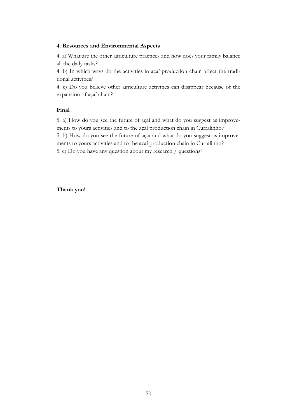#### **4. Resources and Environmental Aspects**

4. a) What are the other agriculture practices and how does your family balance all the daily tasks?

4. b) In which ways do the activities in açaí production chain affect the traditional activities?

4. c) Do you believe other agriculture activities can disappear because of the expansion of açaí chain?

#### **Final**

5. a) How do you see the future of açaí and what do you suggest as improvements to yours activities and to the açaí production chain in Curralinho? 5. b) How do you see the future of açaí and what do you suggest as improvements to yours activities and to the açaí production chain in Curralinho? 5. c) Do you have any question about my research / questions?

#### **Thank you!**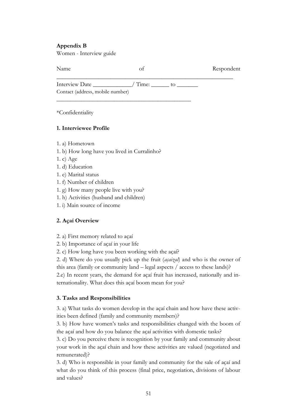#### **Appendix B**

Women - Interview guide

| Name                             |       |     | Respondent |
|----------------------------------|-------|-----|------------|
| Interview Date                   | Time: | TΩ. |            |
| Contact (address, mobile number) |       |     |            |

\*Confidentiality

#### **1. Interviewee Profile**

- 1. a) Hometown
- 1. b) How long have you lived in Curralinho?

\_\_\_\_\_\_\_\_\_\_\_\_\_\_\_\_\_\_\_\_\_\_\_\_\_\_\_\_\_\_\_\_\_\_\_\_\_\_\_\_\_\_\_\_\_\_\_\_\_

- 1. c) Age
- 1. d) Education
- 1. e) Marital status
- 1. f) Number of children
- 1. g) How many people live with you?
- 1. h) Activities (husband and children)
- 1. i) Main source of income

#### **2. Açaí Overview**

- 2. a) First memory related to açaí
- 2. b) Importance of açaí in your life
- 2. c) How long have you been working with the açaí?

2. d) Where do you usually pick up the fruit (*açaizal*) and who is the owner of this area (family or community land – legal aspects / access to these lands)?

2.e) In recent years, the demand for açaí fruit has increased, nationally and internationality. What does this açaí boom mean for you?

#### **3. Tasks and Responsibilities**

3. a) What tasks do women develop in the açaí chain and how have these activities been defined (family and community members)?

3. b) How have women's tasks and responsibilities changed with the boom of the açaí and how do you balance the açaí activities with domestic tasks?

3. c) Do you perceive there is recognition by your family and community about your work in the açaí chain and how these activities are valued (negotiated and remunerated)?

3. d) Who is responsible in your family and community for the sale of açaí and what do you think of this process (final price, negotiation, divisions of labour and values?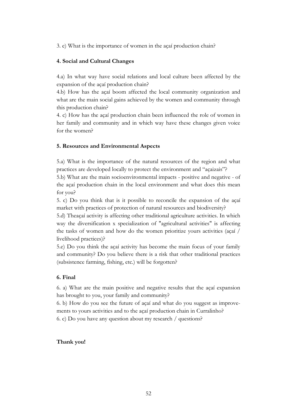3. e) What is the importance of women in the açaí production chain?

#### **4. Social and Cultural Changes**

4.a) In what way have social relations and local culture been affected by the expansion of the açaí production chain?

4.b) How has the açaí boom affected the local community organization and what are the main social gains achieved by the women and community through this production chain?

4. c) How has the açaí production chain been influenced the role of women in her family and community and in which way have these changes given voice for the women?

#### **5. Resources and Environmental Aspects**

5.a) What is the importance of the natural resources of the region and what practices are developed locally to protect the environment and "açaizais"?

5.b) What are the main socioenvironmental impacts - positive and negative - of the açaí production chain in the local environment and what does this mean for you?

5. c) Do you think that is it possible to reconcile the expansion of the açaí market with practices of protection of natural resources and biodiversity?

5.d) Theaçaí activity is affecting other traditional agriculture activities. In which way the diversification x specialization of "agricultural activities" is affecting the tasks of women and how do the women prioritize yours activities (açaí / livelihood practices)?

5.e) Do you think the açaí activity has become the main focus of your family and community? Do you believe there is a risk that other traditional practices (subsistence farming, fishing, etc.) will be forgotten?

#### **6. Final**

6. a) What are the main positive and negative results that the açaí expansion has brought to you, your family and community?

6. b) How do you see the future of açaí and what do you suggest as improvements to yours activities and to the açaí production chain in Curralinho?

6. c) Do you have any question about my research / questions?

#### **Thank you!**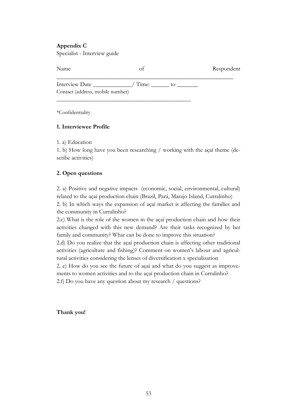#### **Appendix C**

Specialist - Interview guide

| Name                             |       |     | Respondent |
|----------------------------------|-------|-----|------------|
| Interview Date                   | Time: | to. |            |
| Contact (address, mobile number) |       |     |            |

\_\_\_\_\_\_\_\_\_\_\_\_\_\_\_\_\_\_\_\_\_\_\_\_\_\_\_\_\_\_\_\_\_\_\_\_\_\_\_\_\_\_\_\_\_\_\_\_\_

\*Confidentiality

#### **1. Interviewee Profile**

1. a) Education

1. b) How long have you been researching / working with the açaí theme (describe activities)

#### **2. Open questions**

2. a) Positive and negative impacts (economic, social, environmental, cultural) related to the açaí production chain (Brazil, Pará, Marajó Island, Curralinho) 2. b) In which ways the expansion of açaí market is affecting the families and the community in Curralinho?

2.c) What is the role of the women in the açaí production chain and how their activities changed with this new demand? Are their tasks recognized by her family and community? What can be done to improve this situation?

2.d) Do you realize that the açaí production chain is affecting other traditional activities (agriculture and fishing)? Comment on women's labour and agricultural activities considering the lenses of diversification x specialization

2. e) How do you see the future of açaí and what do you suggest as improvements to women activities and to the açaí production chain in Curralinho?

2.f) Do you have any question about my research / questions?

#### **Thank you!**